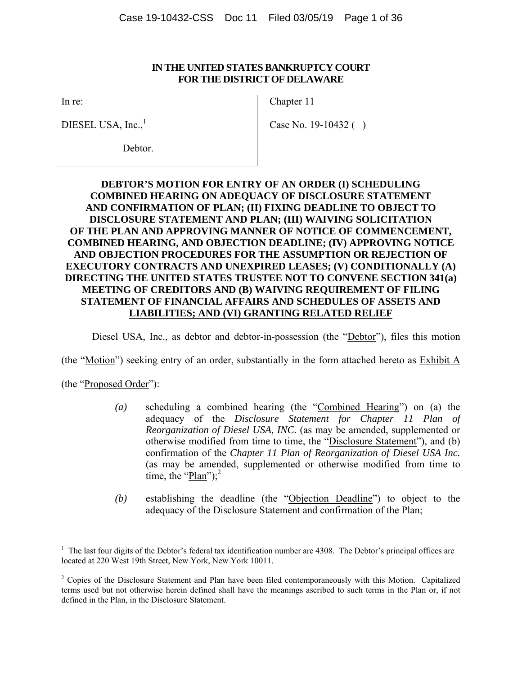#### **IN THE UNITED STATES BANKRUPTCY COURT FOR THE DISTRICT OF DELAWARE**

In re:

DIESEL USA,  $Inc.<sup>1</sup>$ 

Chapter 11

Case No. 19-10432 ( )

Debtor.

### **DEBTOR'S MOTION FOR ENTRY OF AN ORDER (I) SCHEDULING COMBINED HEARING ON ADEQUACY OF DISCLOSURE STATEMENT AND CONFIRMATION OF PLAN; (II) FIXING DEADLINE TO OBJECT TO DISCLOSURE STATEMENT AND PLAN; (III) WAIVING SOLICITATION OF THE PLAN AND APPROVING MANNER OF NOTICE OF COMMENCEMENT, COMBINED HEARING, AND OBJECTION DEADLINE; (IV) APPROVING NOTICE AND OBJECTION PROCEDURES FOR THE ASSUMPTION OR REJECTION OF EXECUTORY CONTRACTS AND UNEXPIRED LEASES; (V) CONDITIONALLY (A) DIRECTING THE UNITED STATES TRUSTEE NOT TO CONVENE SECTION 341(a) MEETING OF CREDITORS AND (B) WAIVING REQUIREMENT OF FILING STATEMENT OF FINANCIAL AFFAIRS AND SCHEDULES OF ASSETS AND LIABILITIES; AND (VI) GRANTING RELATED RELIEF**

Diesel USA, Inc., as debtor and debtor-in-possession (the "Debtor"), files this motion

(the "Motion") seeking entry of an order, substantially in the form attached hereto as Exhibit A

(the "Proposed Order"):

 $\overline{a}$ 

- *(a)* scheduling a combined hearing (the "Combined Hearing") on (a) the adequacy of the *Disclosure Statement for Chapter 11 Plan of Reorganization of Diesel USA, INC.* (as may be amended, supplemented or otherwise modified from time to time, the "Disclosure Statement"), and (b) confirmation of the *Chapter 11 Plan of Reorganization of Diesel USA Inc.*  (as may be amended, supplemented or otherwise modified from time to time, the "Plan"); $^2$
- *(b)* establishing the deadline (the "Objection Deadline") to object to the adequacy of the Disclosure Statement and confirmation of the Plan;

<sup>&</sup>lt;sup>1</sup> The last four digits of the Debtor's federal tax identification number are 4308. The Debtor's principal offices are located at 220 West 19th Street, New York, New York 10011.

<sup>&</sup>lt;sup>2</sup> Copies of the Disclosure Statement and Plan have been filed contemporaneously with this Motion. Capitalized terms used but not otherwise herein defined shall have the meanings ascribed to such terms in the Plan or, if not defined in the Plan, in the Disclosure Statement.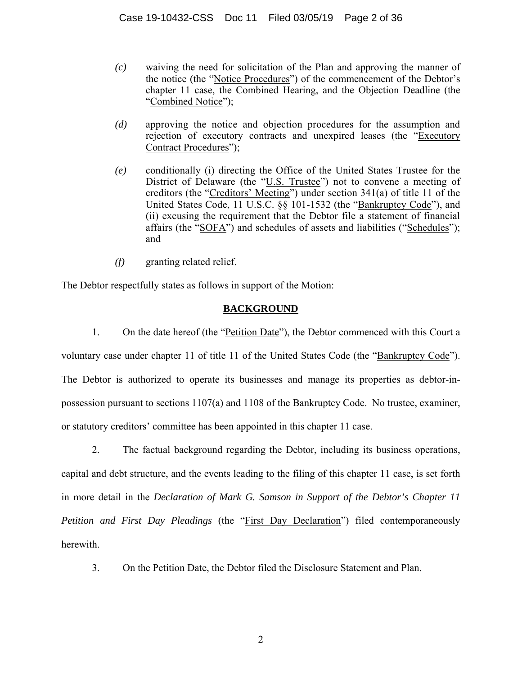- *(c)* waiving the need for solicitation of the Plan and approving the manner of the notice (the "Notice Procedures") of the commencement of the Debtor's chapter 11 case, the Combined Hearing, and the Objection Deadline (the "Combined Notice");
- *(d)* approving the notice and objection procedures for the assumption and rejection of executory contracts and unexpired leases (the "Executory Contract Procedures");
- *(e)* conditionally (i) directing the Office of the United States Trustee for the District of Delaware (the "U.S. Trustee") not to convene a meeting of creditors (the "Creditors' Meeting") under section 341(a) of title 11 of the United States Code, 11 U.S.C. §§ 101-1532 (the "Bankruptcy Code"), and (ii) excusing the requirement that the Debtor file a statement of financial affairs (the "SOFA") and schedules of assets and liabilities ("Schedules"); and
- *(f)* granting related relief.

The Debtor respectfully states as follows in support of the Motion:

### **BACKGROUND**

1. On the date hereof (the "Petition Date"), the Debtor commenced with this Court a voluntary case under chapter 11 of title 11 of the United States Code (the "Bankruptcy Code"). The Debtor is authorized to operate its businesses and manage its properties as debtor-inpossession pursuant to sections 1107(a) and 1108 of the Bankruptcy Code. No trustee, examiner, or statutory creditors' committee has been appointed in this chapter 11 case.

2. The factual background regarding the Debtor, including its business operations, capital and debt structure, and the events leading to the filing of this chapter 11 case, is set forth in more detail in the *Declaration of Mark G. Samson in Support of the Debtor's Chapter 11 Petition and First Day Pleadings* (the "First Day Declaration") filed contemporaneously herewith.

3. On the Petition Date, the Debtor filed the Disclosure Statement and Plan.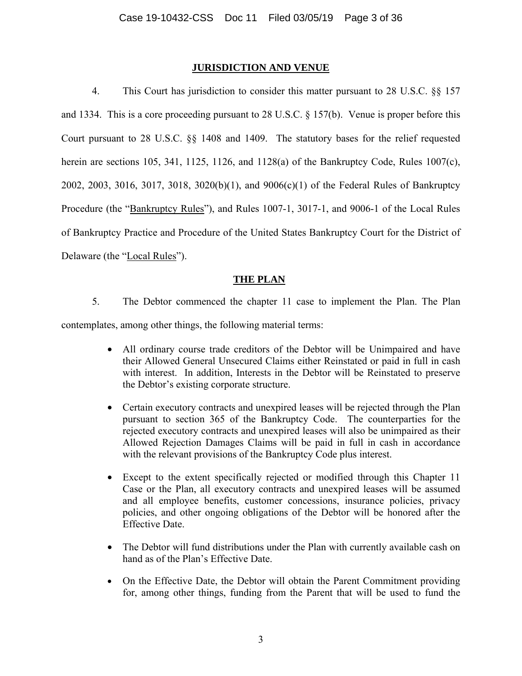### **JURISDICTION AND VENUE**

4. This Court has jurisdiction to consider this matter pursuant to 28 U.S.C. §§ 157 and 1334. This is a core proceeding pursuant to 28 U.S.C. § 157(b). Venue is proper before this Court pursuant to 28 U.S.C. §§ 1408 and 1409. The statutory bases for the relief requested herein are sections 105, 341, 1125, 1126, and 1128(a) of the Bankruptcy Code, Rules 1007(c), 2002, 2003, 3016, 3017, 3018, 3020(b)(1), and 9006(c)(1) of the Federal Rules of Bankruptcy Procedure (the "Bankruptcy Rules"), and Rules 1007-1, 3017-1, and 9006-1 of the Local Rules of Bankruptcy Practice and Procedure of the United States Bankruptcy Court for the District of Delaware (the "Local Rules").

### **THE PLAN**

5. The Debtor commenced the chapter 11 case to implement the Plan. The Plan

contemplates, among other things, the following material terms:

- All ordinary course trade creditors of the Debtor will be Unimpaired and have their Allowed General Unsecured Claims either Reinstated or paid in full in cash with interest. In addition, Interests in the Debtor will be Reinstated to preserve the Debtor's existing corporate structure.
- Certain executory contracts and unexpired leases will be rejected through the Plan pursuant to section 365 of the Bankruptcy Code. The counterparties for the rejected executory contracts and unexpired leases will also be unimpaired as their Allowed Rejection Damages Claims will be paid in full in cash in accordance with the relevant provisions of the Bankruptcy Code plus interest.
- Except to the extent specifically rejected or modified through this Chapter 11 Case or the Plan, all executory contracts and unexpired leases will be assumed and all employee benefits, customer concessions, insurance policies, privacy policies, and other ongoing obligations of the Debtor will be honored after the Effective Date.
- The Debtor will fund distributions under the Plan with currently available cash on hand as of the Plan's Effective Date.
- On the Effective Date, the Debtor will obtain the Parent Commitment providing for, among other things, funding from the Parent that will be used to fund the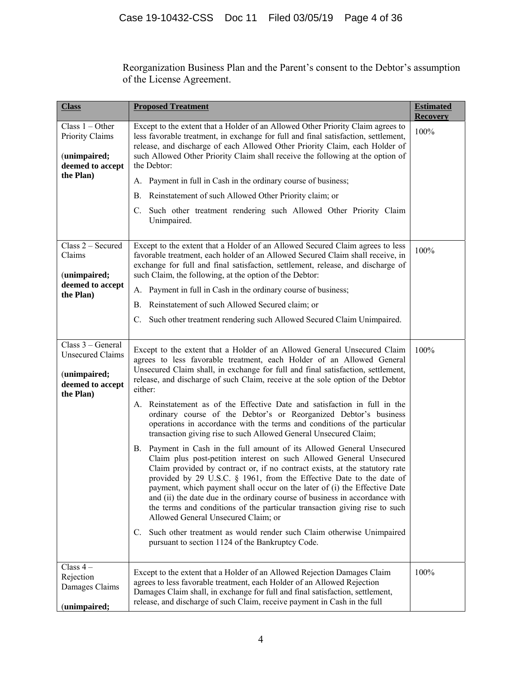Reorganization Business Plan and the Parent's consent to the Debtor's assumption of the License Agreement.

| <b>Class</b>                                                                                  | <b>Proposed Treatment</b>                                                                                                                                                                                                                                                                                                                                                                                                                                                                                                                                                                                                                                                                                                                                                                                                                                                                                                                                                                                                                                                                                                                                                                                                                                                                                                                                  | <b>Estimated</b><br><b>Recovery</b> |
|-----------------------------------------------------------------------------------------------|------------------------------------------------------------------------------------------------------------------------------------------------------------------------------------------------------------------------------------------------------------------------------------------------------------------------------------------------------------------------------------------------------------------------------------------------------------------------------------------------------------------------------------------------------------------------------------------------------------------------------------------------------------------------------------------------------------------------------------------------------------------------------------------------------------------------------------------------------------------------------------------------------------------------------------------------------------------------------------------------------------------------------------------------------------------------------------------------------------------------------------------------------------------------------------------------------------------------------------------------------------------------------------------------------------------------------------------------------------|-------------------------------------|
| Class $1 -$ Other<br>Priority Claims<br>(unimpaired;<br>deemed to accept                      | Except to the extent that a Holder of an Allowed Other Priority Claim agrees to<br>less favorable treatment, in exchange for full and final satisfaction, settlement,<br>release, and discharge of each Allowed Other Priority Claim, each Holder of<br>such Allowed Other Priority Claim shall receive the following at the option of<br>the Debtor:                                                                                                                                                                                                                                                                                                                                                                                                                                                                                                                                                                                                                                                                                                                                                                                                                                                                                                                                                                                                      | 100%                                |
| the Plan)                                                                                     | A. Payment in full in Cash in the ordinary course of business;                                                                                                                                                                                                                                                                                                                                                                                                                                                                                                                                                                                                                                                                                                                                                                                                                                                                                                                                                                                                                                                                                                                                                                                                                                                                                             |                                     |
|                                                                                               | Reinstatement of such Allowed Other Priority claim; or<br>В.                                                                                                                                                                                                                                                                                                                                                                                                                                                                                                                                                                                                                                                                                                                                                                                                                                                                                                                                                                                                                                                                                                                                                                                                                                                                                               |                                     |
|                                                                                               | C. Such other treatment rendering such Allowed Other Priority Claim<br>Unimpaired.                                                                                                                                                                                                                                                                                                                                                                                                                                                                                                                                                                                                                                                                                                                                                                                                                                                                                                                                                                                                                                                                                                                                                                                                                                                                         |                                     |
| Class 2 - Secured<br>Claims<br>(unimpaired;                                                   | Except to the extent that a Holder of an Allowed Secured Claim agrees to less<br>favorable treatment, each holder of an Allowed Secured Claim shall receive, in<br>exchange for full and final satisfaction, settlement, release, and discharge of<br>such Claim, the following, at the option of the Debtor:                                                                                                                                                                                                                                                                                                                                                                                                                                                                                                                                                                                                                                                                                                                                                                                                                                                                                                                                                                                                                                              | 100%                                |
| deemed to accept<br>the Plan)                                                                 | A. Payment in full in Cash in the ordinary course of business;                                                                                                                                                                                                                                                                                                                                                                                                                                                                                                                                                                                                                                                                                                                                                                                                                                                                                                                                                                                                                                                                                                                                                                                                                                                                                             |                                     |
|                                                                                               | Reinstatement of such Allowed Secured claim; or<br><b>B.</b>                                                                                                                                                                                                                                                                                                                                                                                                                                                                                                                                                                                                                                                                                                                                                                                                                                                                                                                                                                                                                                                                                                                                                                                                                                                                                               |                                     |
|                                                                                               | C. Such other treatment rendering such Allowed Secured Claim Unimpaired.                                                                                                                                                                                                                                                                                                                                                                                                                                                                                                                                                                                                                                                                                                                                                                                                                                                                                                                                                                                                                                                                                                                                                                                                                                                                                   |                                     |
| Class 3 – General<br><b>Unsecured Claims</b><br>(unimpaired;<br>deemed to accept<br>the Plan) | Except to the extent that a Holder of an Allowed General Unsecured Claim<br>agrees to less favorable treatment, each Holder of an Allowed General<br>Unsecured Claim shall, in exchange for full and final satisfaction, settlement,<br>release, and discharge of such Claim, receive at the sole option of the Debtor<br>either:<br>A. Reinstatement as of the Effective Date and satisfaction in full in the<br>ordinary course of the Debtor's or Reorganized Debtor's business<br>operations in accordance with the terms and conditions of the particular<br>transaction giving rise to such Allowed General Unsecured Claim;<br>B. Payment in Cash in the full amount of its Allowed General Unsecured<br>Claim plus post-petition interest on such Allowed General Unsecured<br>Claim provided by contract or, if no contract exists, at the statutory rate<br>provided by 29 U.S.C. § 1961, from the Effective Date to the date of<br>payment, which payment shall occur on the later of (i) the Effective Date<br>and (ii) the date due in the ordinary course of business in accordance with<br>the terms and conditions of the particular transaction giving rise to such<br>Allowed General Unsecured Claim; or<br>C. Such other treatment as would render such Claim otherwise Unimpaired<br>pursuant to section 1124 of the Bankruptcy Code. | 100%                                |
| Class $4-$<br>Rejection<br>Damages Claims<br>(unimpaired;                                     | Except to the extent that a Holder of an Allowed Rejection Damages Claim<br>agrees to less favorable treatment, each Holder of an Allowed Rejection<br>Damages Claim shall, in exchange for full and final satisfaction, settlement,<br>release, and discharge of such Claim, receive payment in Cash in the full                                                                                                                                                                                                                                                                                                                                                                                                                                                                                                                                                                                                                                                                                                                                                                                                                                                                                                                                                                                                                                          | 100%                                |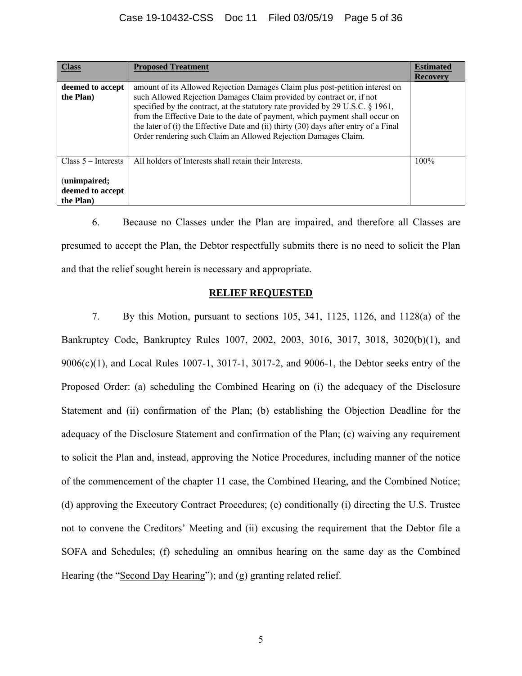### Case 19-10432-CSS Doc 11 Filed 03/05/19 Page 5 of 36

| <b>Class</b>                                                          | <b>Proposed Treatment</b>                                                                                                                                                                                                                                                                                                                                                                                                                                                        | <b>Estimated</b> |
|-----------------------------------------------------------------------|----------------------------------------------------------------------------------------------------------------------------------------------------------------------------------------------------------------------------------------------------------------------------------------------------------------------------------------------------------------------------------------------------------------------------------------------------------------------------------|------------------|
|                                                                       |                                                                                                                                                                                                                                                                                                                                                                                                                                                                                  | Recovery         |
| deemed to accept<br>the Plan)                                         | amount of its Allowed Rejection Damages Claim plus post-petition interest on<br>such Allowed Rejection Damages Claim provided by contract or, if not<br>specified by the contract, at the statutory rate provided by 29 U.S.C. § 1961,<br>from the Effective Date to the date of payment, which payment shall occur on<br>the later of (i) the Effective Date and (ii) thirty (30) days after entry of a Final<br>Order rendering such Claim an Allowed Rejection Damages Claim. |                  |
| Class $5$ – Interests<br>(unimpaired;<br>deemed to accept<br>the Plan | All holders of Interests shall retain their Interests.                                                                                                                                                                                                                                                                                                                                                                                                                           | $100\%$          |

6. Because no Classes under the Plan are impaired, and therefore all Classes are presumed to accept the Plan, the Debtor respectfully submits there is no need to solicit the Plan and that the relief sought herein is necessary and appropriate.

#### **RELIEF REQUESTED**

7. By this Motion, pursuant to sections 105, 341, 1125, 1126, and 1128(a) of the Bankruptcy Code, Bankruptcy Rules 1007, 2002, 2003, 3016, 3017, 3018, 3020(b)(1), and 9006(c)(1), and Local Rules 1007-1, 3017-1, 3017-2, and 9006-1, the Debtor seeks entry of the Proposed Order: (a) scheduling the Combined Hearing on (i) the adequacy of the Disclosure Statement and (ii) confirmation of the Plan; (b) establishing the Objection Deadline for the adequacy of the Disclosure Statement and confirmation of the Plan; (c) waiving any requirement to solicit the Plan and, instead, approving the Notice Procedures, including manner of the notice of the commencement of the chapter 11 case, the Combined Hearing, and the Combined Notice; (d) approving the Executory Contract Procedures; (e) conditionally (i) directing the U.S. Trustee not to convene the Creditors' Meeting and (ii) excusing the requirement that the Debtor file a SOFA and Schedules; (f) scheduling an omnibus hearing on the same day as the Combined Hearing (the "Second Day Hearing"); and (g) granting related relief.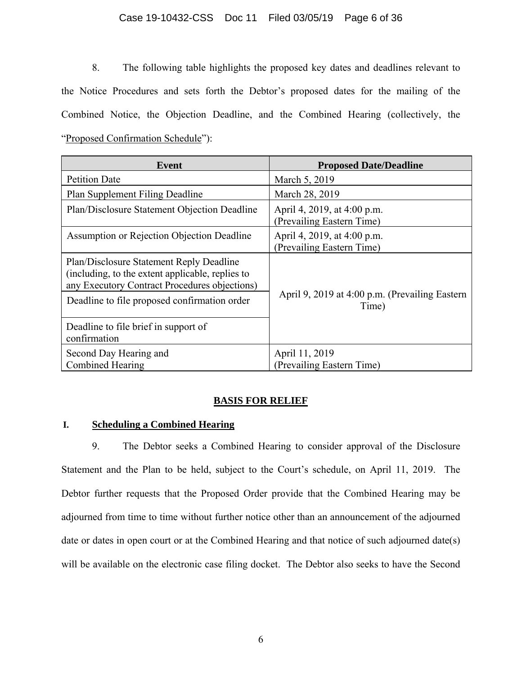#### Case 19-10432-CSS Doc 11 Filed 03/05/19 Page 6 of 36

8. The following table highlights the proposed key dates and deadlines relevant to the Notice Procedures and sets forth the Debtor's proposed dates for the mailing of the Combined Notice, the Objection Deadline, and the Combined Hearing (collectively, the "Proposed Confirmation Schedule"):

| Event                                                                                                                                         | <b>Proposed Date/Deadline</b>                            |  |
|-----------------------------------------------------------------------------------------------------------------------------------------------|----------------------------------------------------------|--|
| <b>Petition Date</b>                                                                                                                          | March 5, 2019                                            |  |
| Plan Supplement Filing Deadline                                                                                                               | March 28, 2019                                           |  |
| Plan/Disclosure Statement Objection Deadline                                                                                                  | April 4, 2019, at 4:00 p.m.<br>(Prevailing Eastern Time) |  |
| Assumption or Rejection Objection Deadline                                                                                                    | April 4, 2019, at 4:00 p.m.<br>(Prevailing Eastern Time) |  |
| Plan/Disclosure Statement Reply Deadline<br>(including, to the extent applicable, replies to<br>any Executory Contract Procedures objections) |                                                          |  |
| Deadline to file proposed confirmation order                                                                                                  | April 9, 2019 at 4:00 p.m. (Prevailing Eastern<br>Time)  |  |
| Deadline to file brief in support of<br>confirmation                                                                                          |                                                          |  |
| Second Day Hearing and                                                                                                                        | April 11, 2019                                           |  |
| Combined Hearing                                                                                                                              | (Prevailing Eastern Time)                                |  |

### **BASIS FOR RELIEF**

### **I. Scheduling a Combined Hearing**

9. The Debtor seeks a Combined Hearing to consider approval of the Disclosure Statement and the Plan to be held, subject to the Court's schedule, on April 11, 2019. The Debtor further requests that the Proposed Order provide that the Combined Hearing may be adjourned from time to time without further notice other than an announcement of the adjourned date or dates in open court or at the Combined Hearing and that notice of such adjourned date(s) will be available on the electronic case filing docket. The Debtor also seeks to have the Second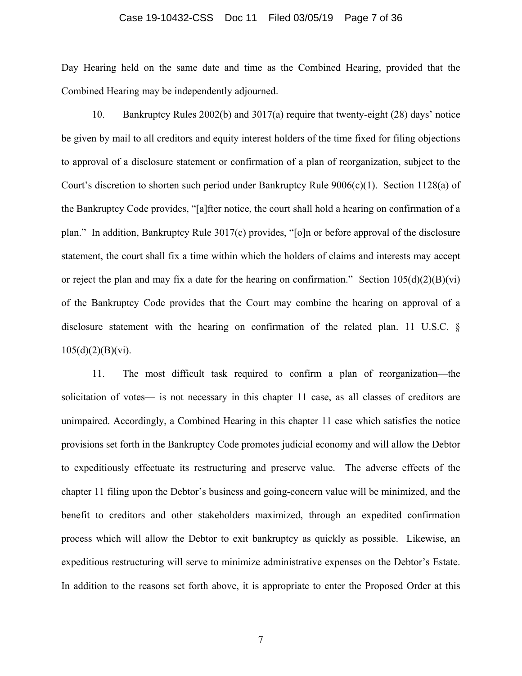#### Case 19-10432-CSS Doc 11 Filed 03/05/19 Page 7 of 36

Day Hearing held on the same date and time as the Combined Hearing, provided that the Combined Hearing may be independently adjourned.

10. Bankruptcy Rules 2002(b) and 3017(a) require that twenty-eight (28) days' notice be given by mail to all creditors and equity interest holders of the time fixed for filing objections to approval of a disclosure statement or confirmation of a plan of reorganization, subject to the Court's discretion to shorten such period under Bankruptcy Rule  $9006(c)(1)$ . Section 1128(a) of the Bankruptcy Code provides, "[a]fter notice, the court shall hold a hearing on confirmation of a plan." In addition, Bankruptcy Rule 3017(c) provides, "[o]n or before approval of the disclosure statement, the court shall fix a time within which the holders of claims and interests may accept or reject the plan and may fix a date for the hearing on confirmation." Section  $105(d)(2)(B)(vi)$ of the Bankruptcy Code provides that the Court may combine the hearing on approval of a disclosure statement with the hearing on confirmation of the related plan. 11 U.S.C. §  $105(d)(2)(B)(vi).$ 

11. The most difficult task required to confirm a plan of reorganization—the solicitation of votes— is not necessary in this chapter 11 case, as all classes of creditors are unimpaired. Accordingly, a Combined Hearing in this chapter 11 case which satisfies the notice provisions set forth in the Bankruptcy Code promotes judicial economy and will allow the Debtor to expeditiously effectuate its restructuring and preserve value. The adverse effects of the chapter 11 filing upon the Debtor's business and going-concern value will be minimized, and the benefit to creditors and other stakeholders maximized, through an expedited confirmation process which will allow the Debtor to exit bankruptcy as quickly as possible. Likewise, an expeditious restructuring will serve to minimize administrative expenses on the Debtor's Estate. In addition to the reasons set forth above, it is appropriate to enter the Proposed Order at this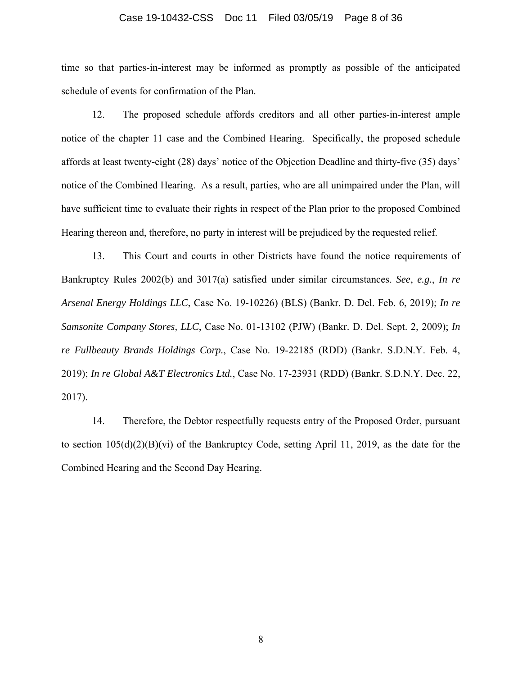#### Case 19-10432-CSS Doc 11 Filed 03/05/19 Page 8 of 36

time so that parties-in-interest may be informed as promptly as possible of the anticipated schedule of events for confirmation of the Plan.

12. The proposed schedule affords creditors and all other parties-in-interest ample notice of the chapter 11 case and the Combined Hearing. Specifically, the proposed schedule affords at least twenty-eight (28) days' notice of the Objection Deadline and thirty-five (35) days' notice of the Combined Hearing. As a result, parties, who are all unimpaired under the Plan, will have sufficient time to evaluate their rights in respect of the Plan prior to the proposed Combined Hearing thereon and, therefore, no party in interest will be prejudiced by the requested relief.

13. This Court and courts in other Districts have found the notice requirements of Bankruptcy Rules 2002(b) and 3017(a) satisfied under similar circumstances. *See*, *e.g.*, *In re Arsenal Energy Holdings LLC*, Case No. 19-10226) (BLS) (Bankr. D. Del. Feb. 6, 2019); *In re Samsonite Company Stores, LLC*, Case No. 01-13102 (PJW) (Bankr. D. Del. Sept. 2, 2009); *In re Fullbeauty Brands Holdings Corp.*, Case No. 19-22185 (RDD) (Bankr. S.D.N.Y. Feb. 4, 2019); *In re Global A&T Electronics Ltd.*, Case No. 17-23931 (RDD) (Bankr. S.D.N.Y. Dec. 22, 2017).

14. Therefore, the Debtor respectfully requests entry of the Proposed Order, pursuant to section 105(d)(2)(B)(vi) of the Bankruptcy Code, setting April 11, 2019, as the date for the Combined Hearing and the Second Day Hearing.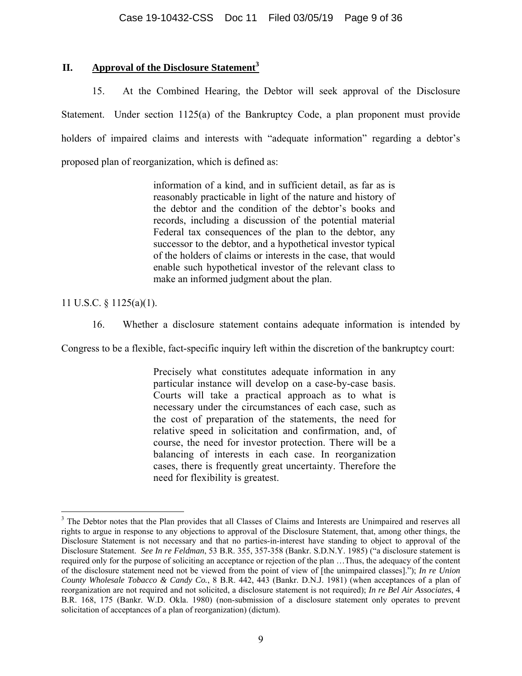### **II. Approval of the Disclosure Statement<sup>3</sup>**

15. At the Combined Hearing, the Debtor will seek approval of the Disclosure Statement. Under section 1125(a) of the Bankruptcy Code, a plan proponent must provide holders of impaired claims and interests with "adequate information" regarding a debtor's proposed plan of reorganization, which is defined as:

> information of a kind, and in sufficient detail, as far as is reasonably practicable in light of the nature and history of the debtor and the condition of the debtor's books and records, including a discussion of the potential material Federal tax consequences of the plan to the debtor, any successor to the debtor, and a hypothetical investor typical of the holders of claims or interests in the case, that would enable such hypothetical investor of the relevant class to make an informed judgment about the plan.

11 U.S.C. § 1125(a)(1).

<u>.</u>

16. Whether a disclosure statement contains adequate information is intended by

Congress to be a flexible, fact-specific inquiry left within the discretion of the bankruptcy court:

Precisely what constitutes adequate information in any particular instance will develop on a case-by-case basis. Courts will take a practical approach as to what is necessary under the circumstances of each case, such as the cost of preparation of the statements, the need for relative speed in solicitation and confirmation, and, of course, the need for investor protection. There will be a balancing of interests in each case. In reorganization cases, there is frequently great uncertainty. Therefore the need for flexibility is greatest.

<sup>&</sup>lt;sup>3</sup> The Debtor notes that the Plan provides that all Classes of Claims and Interests are Unimpaired and reserves all rights to argue in response to any objections to approval of the Disclosure Statement, that, among other things, the Disclosure Statement is not necessary and that no parties-in-interest have standing to object to approval of the Disclosure Statement. *See In re Feldman*, 53 B.R. 355, 357-358 (Bankr. S.D.N.Y. 1985) ("a disclosure statement is required only for the purpose of soliciting an acceptance or rejection of the plan …Thus, the adequacy of the content of the disclosure statement need not be viewed from the point of view of [the unimpaired classes]."); *In re Union County Wholesale Tobacco & Candy Co.*, 8 B.R. 442, 443 (Bankr. D.N.J. 1981) (when acceptances of a plan of reorganization are not required and not solicited, a disclosure statement is not required); *In re Bel Air Associates*, 4 B.R. 168, 175 (Bankr. W.D. Okla. 1980) (non-submission of a disclosure statement only operates to prevent solicitation of acceptances of a plan of reorganization) (dictum).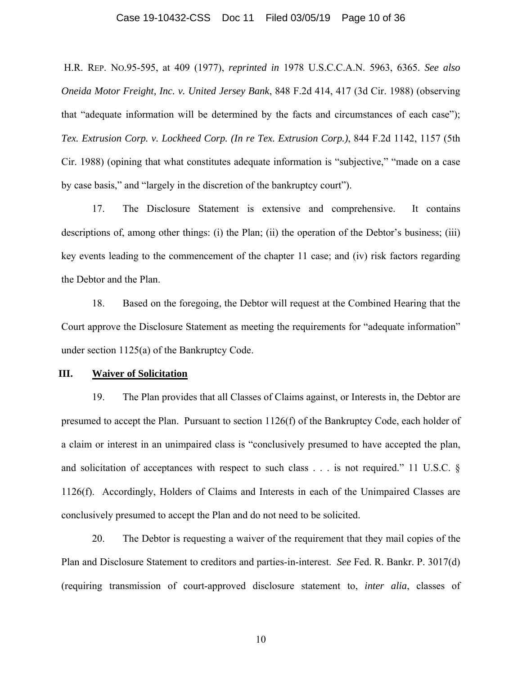#### Case 19-10432-CSS Doc 11 Filed 03/05/19 Page 10 of 36

 H.R. REP. NO.95-595, at 409 (1977), *reprinted in* 1978 U.S.C.C.A.N. 5963, 6365. *See also Oneida Motor Freight, Inc. v. United Jersey Bank*, 848 F.2d 414, 417 (3d Cir. 1988) (observing that "adequate information will be determined by the facts and circumstances of each case"); *Tex. Extrusion Corp. v. Lockheed Corp. (In re Tex. Extrusion Corp.)*, 844 F.2d 1142, 1157 (5th Cir. 1988) (opining that what constitutes adequate information is "subjective," "made on a case by case basis," and "largely in the discretion of the bankruptcy court").

17. The Disclosure Statement is extensive and comprehensive. It contains descriptions of, among other things: (i) the Plan; (ii) the operation of the Debtor's business; (iii) key events leading to the commencement of the chapter 11 case; and (iv) risk factors regarding the Debtor and the Plan.

18. Based on the foregoing, the Debtor will request at the Combined Hearing that the Court approve the Disclosure Statement as meeting the requirements for "adequate information" under section 1125(a) of the Bankruptcy Code.

#### **III. Waiver of Solicitation**

19. The Plan provides that all Classes of Claims against, or Interests in, the Debtor are presumed to accept the Plan. Pursuant to section 1126(f) of the Bankruptcy Code, each holder of a claim or interest in an unimpaired class is "conclusively presumed to have accepted the plan, and solicitation of acceptances with respect to such class . . . is not required." 11 U.S.C. § 1126(f). Accordingly, Holders of Claims and Interests in each of the Unimpaired Classes are conclusively presumed to accept the Plan and do not need to be solicited.

20. The Debtor is requesting a waiver of the requirement that they mail copies of the Plan and Disclosure Statement to creditors and parties-in-interest. *See* Fed. R. Bankr. P. 3017(d) (requiring transmission of court-approved disclosure statement to, *inter alia*, classes of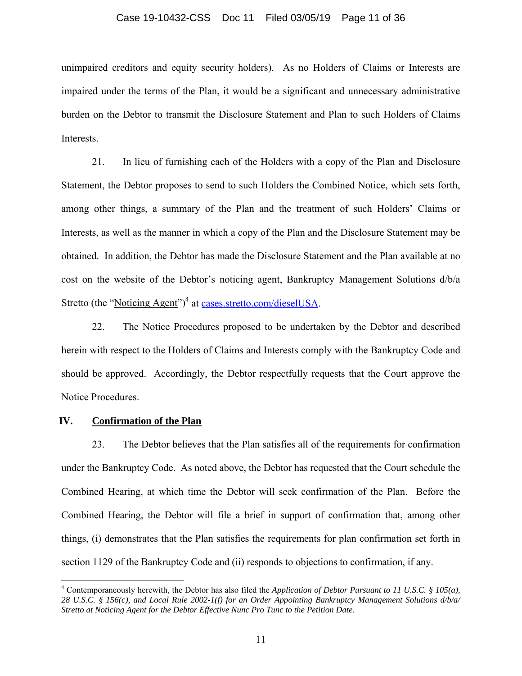#### Case 19-10432-CSS Doc 11 Filed 03/05/19 Page 11 of 36

unimpaired creditors and equity security holders). As no Holders of Claims or Interests are impaired under the terms of the Plan, it would be a significant and unnecessary administrative burden on the Debtor to transmit the Disclosure Statement and Plan to such Holders of Claims Interests.

21. In lieu of furnishing each of the Holders with a copy of the Plan and Disclosure Statement, the Debtor proposes to send to such Holders the Combined Notice, which sets forth, among other things, a summary of the Plan and the treatment of such Holders' Claims or Interests, as well as the manner in which a copy of the Plan and the Disclosure Statement may be obtained. In addition, the Debtor has made the Disclosure Statement and the Plan available at no cost on the website of the Debtor's noticing agent, Bankruptcy Management Solutions d/b/a Stretto (the "Noticing Agent")<sup>4</sup> at cases.stretto.com/dieselUSA.

22. The Notice Procedures proposed to be undertaken by the Debtor and described herein with respect to the Holders of Claims and Interests comply with the Bankruptcy Code and should be approved. Accordingly, the Debtor respectfully requests that the Court approve the Notice Procedures.

#### **IV. Confirmation of the Plan**

 $\overline{a}$ 

23. The Debtor believes that the Plan satisfies all of the requirements for confirmation under the Bankruptcy Code. As noted above, the Debtor has requested that the Court schedule the Combined Hearing, at which time the Debtor will seek confirmation of the Plan. Before the Combined Hearing, the Debtor will file a brief in support of confirmation that, among other things, (i) demonstrates that the Plan satisfies the requirements for plan confirmation set forth in section 1129 of the Bankruptcy Code and (ii) responds to objections to confirmation, if any.

<sup>4</sup> Contemporaneously herewith, the Debtor has also filed the *Application of Debtor Pursuant to 11 U.S.C. § 105(a), 28 U.S.C. § 156(c), and Local Rule 2002-1(f) for an Order Appointing Bankruptcy Management Solutions d/b/a/ Stretto at Noticing Agent for the Debtor Effective Nunc Pro Tunc to the Petition Date.*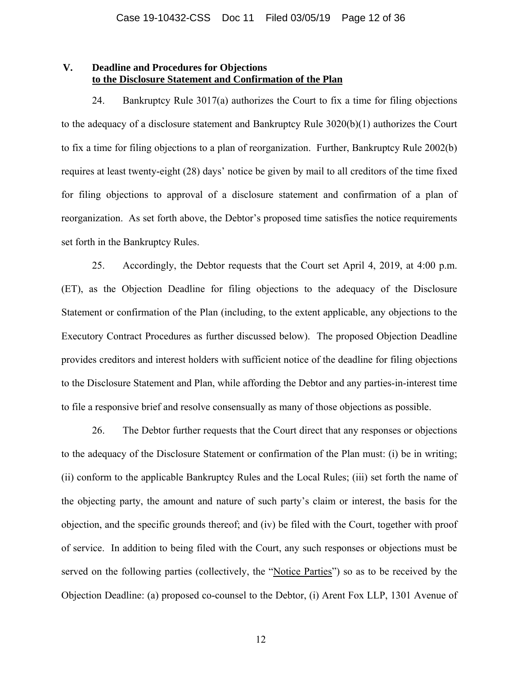#### **V. Deadline and Procedures for Objections to the Disclosure Statement and Confirmation of the Plan**

24. Bankruptcy Rule 3017(a) authorizes the Court to fix a time for filing objections to the adequacy of a disclosure statement and Bankruptcy Rule 3020(b)(1) authorizes the Court to fix a time for filing objections to a plan of reorganization. Further, Bankruptcy Rule 2002(b) requires at least twenty-eight (28) days' notice be given by mail to all creditors of the time fixed for filing objections to approval of a disclosure statement and confirmation of a plan of reorganization. As set forth above, the Debtor's proposed time satisfies the notice requirements set forth in the Bankruptcy Rules.

25. Accordingly, the Debtor requests that the Court set April 4, 2019, at 4:00 p.m. (ET), as the Objection Deadline for filing objections to the adequacy of the Disclosure Statement or confirmation of the Plan (including, to the extent applicable, any objections to the Executory Contract Procedures as further discussed below). The proposed Objection Deadline provides creditors and interest holders with sufficient notice of the deadline for filing objections to the Disclosure Statement and Plan, while affording the Debtor and any parties-in-interest time to file a responsive brief and resolve consensually as many of those objections as possible.

26. The Debtor further requests that the Court direct that any responses or objections to the adequacy of the Disclosure Statement or confirmation of the Plan must: (i) be in writing; (ii) conform to the applicable Bankruptcy Rules and the Local Rules; (iii) set forth the name of the objecting party, the amount and nature of such party's claim or interest, the basis for the objection, and the specific grounds thereof; and (iv) be filed with the Court, together with proof of service. In addition to being filed with the Court, any such responses or objections must be served on the following parties (collectively, the "Notice Parties") so as to be received by the Objection Deadline: (a) proposed co-counsel to the Debtor, (i) Arent Fox LLP, 1301 Avenue of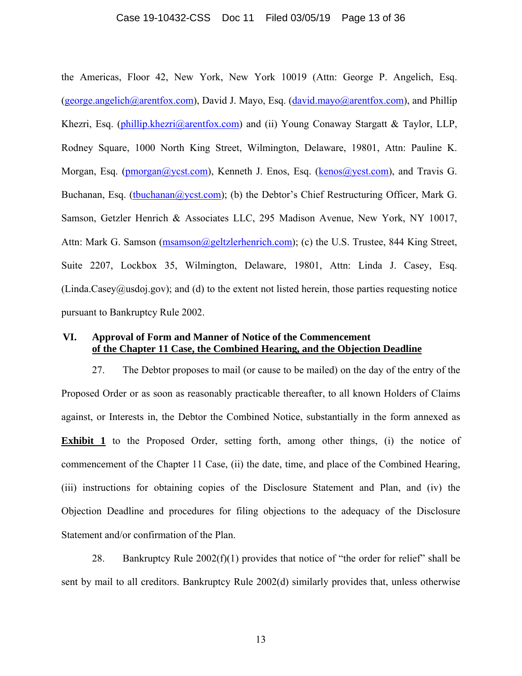#### Case 19-10432-CSS Doc 11 Filed 03/05/19 Page 13 of 36

the Americas, Floor 42, New York, New York 10019 (Attn: George P. Angelich, Esq. (george.angelich@arentfox.com), David J. Mayo, Esq. (david.mayo@arentfox.com), and Phillip Khezri, Esq. (phillip.khezri@arentfox.com) and (ii) Young Conaway Stargatt & Taylor, LLP, Rodney Square, 1000 North King Street, Wilmington, Delaware, 19801, Attn: Pauline K. Morgan, Esq. (pmorgan@ycst.com), Kenneth J. Enos, Esq. (kenos@ycst.com), and Travis G. Buchanan, Esq. (tbuchanan@ycst.com); (b) the Debtor's Chief Restructuring Officer, Mark G. Samson, Getzler Henrich & Associates LLC, 295 Madison Avenue, New York, NY 10017, Attn: Mark G. Samson (msamson@geltzlerhenrich.com); (c) the U.S. Trustee, 844 King Street, Suite 2207, Lockbox 35, Wilmington, Delaware, 19801, Attn: Linda J. Casey, Esq.  $(Linda.Casey@usdoj.gov)$ ; and (d) to the extent not listed herein, those parties requesting notice pursuant to Bankruptcy Rule 2002.

### **VI. Approval of Form and Manner of Notice of the Commencement of the Chapter 11 Case, the Combined Hearing, and the Objection Deadline**

27. The Debtor proposes to mail (or cause to be mailed) on the day of the entry of the Proposed Order or as soon as reasonably practicable thereafter, to all known Holders of Claims against, or Interests in, the Debtor the Combined Notice, substantially in the form annexed as **Exhibit 1** to the Proposed Order, setting forth, among other things, (i) the notice of commencement of the Chapter 11 Case, (ii) the date, time, and place of the Combined Hearing, (iii) instructions for obtaining copies of the Disclosure Statement and Plan, and (iv) the Objection Deadline and procedures for filing objections to the adequacy of the Disclosure Statement and/or confirmation of the Plan.

28. Bankruptcy Rule  $2002(f)(1)$  provides that notice of "the order for relief" shall be sent by mail to all creditors. Bankruptcy Rule 2002(d) similarly provides that, unless otherwise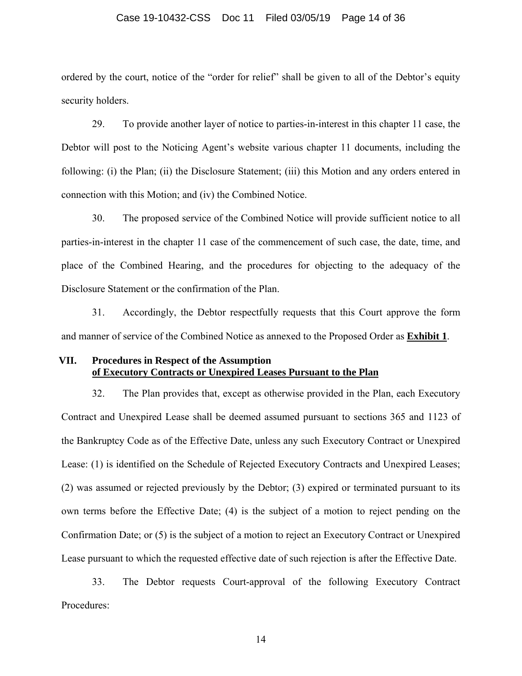#### Case 19-10432-CSS Doc 11 Filed 03/05/19 Page 14 of 36

ordered by the court, notice of the "order for relief" shall be given to all of the Debtor's equity security holders.

29. To provide another layer of notice to parties-in-interest in this chapter 11 case, the Debtor will post to the Noticing Agent's website various chapter 11 documents, including the following: (i) the Plan; (ii) the Disclosure Statement; (iii) this Motion and any orders entered in connection with this Motion; and (iv) the Combined Notice.

30. The proposed service of the Combined Notice will provide sufficient notice to all parties-in-interest in the chapter 11 case of the commencement of such case, the date, time, and place of the Combined Hearing, and the procedures for objecting to the adequacy of the Disclosure Statement or the confirmation of the Plan.

31. Accordingly, the Debtor respectfully requests that this Court approve the form and manner of service of the Combined Notice as annexed to the Proposed Order as **Exhibit 1**.

### **VII. Procedures in Respect of the Assumption of Executory Contracts or Unexpired Leases Pursuant to the Plan**

32. The Plan provides that, except as otherwise provided in the Plan, each Executory Contract and Unexpired Lease shall be deemed assumed pursuant to sections 365 and 1123 of the Bankruptcy Code as of the Effective Date, unless any such Executory Contract or Unexpired Lease: (1) is identified on the Schedule of Rejected Executory Contracts and Unexpired Leases; (2) was assumed or rejected previously by the Debtor; (3) expired or terminated pursuant to its own terms before the Effective Date; (4) is the subject of a motion to reject pending on the Confirmation Date; or (5) is the subject of a motion to reject an Executory Contract or Unexpired Lease pursuant to which the requested effective date of such rejection is after the Effective Date.

33. The Debtor requests Court-approval of the following Executory Contract Procedures: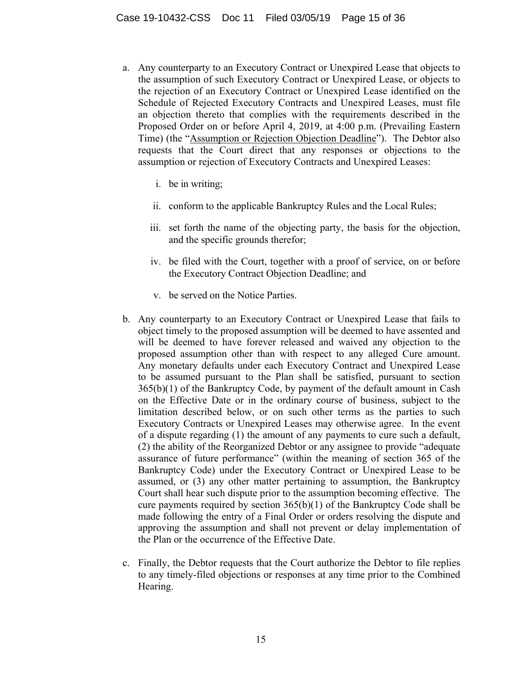- a. Any counterparty to an Executory Contract or Unexpired Lease that objects to the assumption of such Executory Contract or Unexpired Lease, or objects to the rejection of an Executory Contract or Unexpired Lease identified on the Schedule of Rejected Executory Contracts and Unexpired Leases, must file an objection thereto that complies with the requirements described in the Proposed Order on or before April 4, 2019, at 4:00 p.m. (Prevailing Eastern Time) (the "Assumption or Rejection Objection Deadline"). The Debtor also requests that the Court direct that any responses or objections to the assumption or rejection of Executory Contracts and Unexpired Leases:
	- i. be in writing;
	- ii. conform to the applicable Bankruptcy Rules and the Local Rules;
	- iii. set forth the name of the objecting party, the basis for the objection, and the specific grounds therefor;
	- iv. be filed with the Court, together with a proof of service, on or before the Executory Contract Objection Deadline; and
	- v. be served on the Notice Parties.
- b. Any counterparty to an Executory Contract or Unexpired Lease that fails to object timely to the proposed assumption will be deemed to have assented and will be deemed to have forever released and waived any objection to the proposed assumption other than with respect to any alleged Cure amount. Any monetary defaults under each Executory Contract and Unexpired Lease to be assumed pursuant to the Plan shall be satisfied, pursuant to section 365(b)(1) of the Bankruptcy Code, by payment of the default amount in Cash on the Effective Date or in the ordinary course of business, subject to the limitation described below, or on such other terms as the parties to such Executory Contracts or Unexpired Leases may otherwise agree. In the event of a dispute regarding (1) the amount of any payments to cure such a default, (2) the ability of the Reorganized Debtor or any assignee to provide "adequate assurance of future performance" (within the meaning of section 365 of the Bankruptcy Code) under the Executory Contract or Unexpired Lease to be assumed, or (3) any other matter pertaining to assumption, the Bankruptcy Court shall hear such dispute prior to the assumption becoming effective. The cure payments required by section  $365(b)(1)$  of the Bankruptcy Code shall be made following the entry of a Final Order or orders resolving the dispute and approving the assumption and shall not prevent or delay implementation of the Plan or the occurrence of the Effective Date.
- c. Finally, the Debtor requests that the Court authorize the Debtor to file replies to any timely-filed objections or responses at any time prior to the Combined Hearing.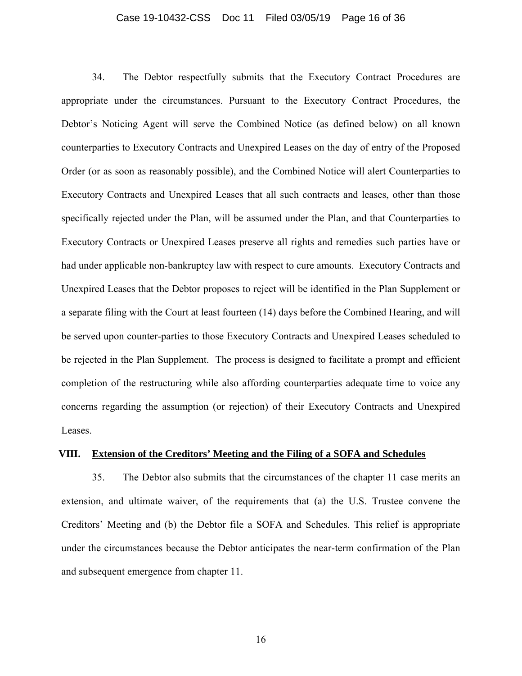#### Case 19-10432-CSS Doc 11 Filed 03/05/19 Page 16 of 36

34. The Debtor respectfully submits that the Executory Contract Procedures are appropriate under the circumstances. Pursuant to the Executory Contract Procedures, the Debtor's Noticing Agent will serve the Combined Notice (as defined below) on all known counterparties to Executory Contracts and Unexpired Leases on the day of entry of the Proposed Order (or as soon as reasonably possible), and the Combined Notice will alert Counterparties to Executory Contracts and Unexpired Leases that all such contracts and leases, other than those specifically rejected under the Plan, will be assumed under the Plan, and that Counterparties to Executory Contracts or Unexpired Leases preserve all rights and remedies such parties have or had under applicable non-bankruptcy law with respect to cure amounts. Executory Contracts and Unexpired Leases that the Debtor proposes to reject will be identified in the Plan Supplement or a separate filing with the Court at least fourteen (14) days before the Combined Hearing, and will be served upon counter-parties to those Executory Contracts and Unexpired Leases scheduled to be rejected in the Plan Supplement. The process is designed to facilitate a prompt and efficient completion of the restructuring while also affording counterparties adequate time to voice any concerns regarding the assumption (or rejection) of their Executory Contracts and Unexpired Leases.

#### **VIII. Extension of the Creditors' Meeting and the Filing of a SOFA and Schedules**

35. The Debtor also submits that the circumstances of the chapter 11 case merits an extension, and ultimate waiver, of the requirements that (a) the U.S. Trustee convene the Creditors' Meeting and (b) the Debtor file a SOFA and Schedules. This relief is appropriate under the circumstances because the Debtor anticipates the near-term confirmation of the Plan and subsequent emergence from chapter 11.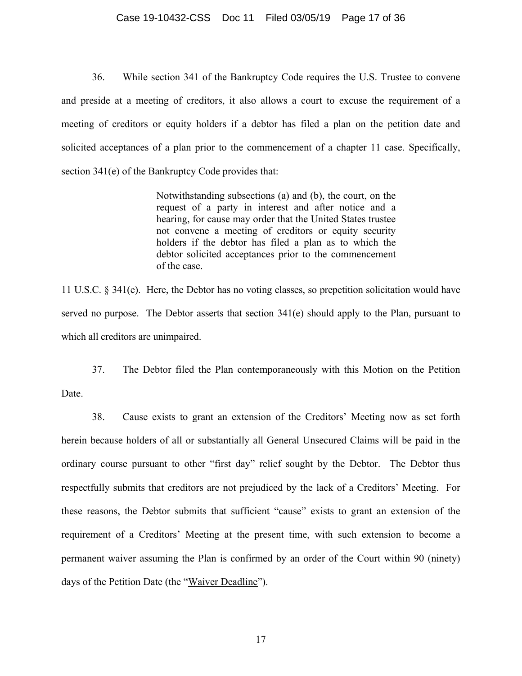#### Case 19-10432-CSS Doc 11 Filed 03/05/19 Page 17 of 36

36. While section 341 of the Bankruptcy Code requires the U.S. Trustee to convene and preside at a meeting of creditors, it also allows a court to excuse the requirement of a meeting of creditors or equity holders if a debtor has filed a plan on the petition date and solicited acceptances of a plan prior to the commencement of a chapter 11 case. Specifically, section 341(e) of the Bankruptcy Code provides that:

> Notwithstanding subsections (a) and (b), the court, on the request of a party in interest and after notice and a hearing, for cause may order that the United States trustee not convene a meeting of creditors or equity security holders if the debtor has filed a plan as to which the debtor solicited acceptances prior to the commencement of the case.

11 U.S.C. § 341(e). Here, the Debtor has no voting classes, so prepetition solicitation would have served no purpose. The Debtor asserts that section 341(e) should apply to the Plan, pursuant to which all creditors are unimpaired.

37. The Debtor filed the Plan contemporaneously with this Motion on the Petition Date.

38. Cause exists to grant an extension of the Creditors' Meeting now as set forth herein because holders of all or substantially all General Unsecured Claims will be paid in the ordinary course pursuant to other "first day" relief sought by the Debtor. The Debtor thus respectfully submits that creditors are not prejudiced by the lack of a Creditors' Meeting. For these reasons, the Debtor submits that sufficient "cause" exists to grant an extension of the requirement of a Creditors' Meeting at the present time, with such extension to become a permanent waiver assuming the Plan is confirmed by an order of the Court within 90 (ninety) days of the Petition Date (the "Waiver Deadline").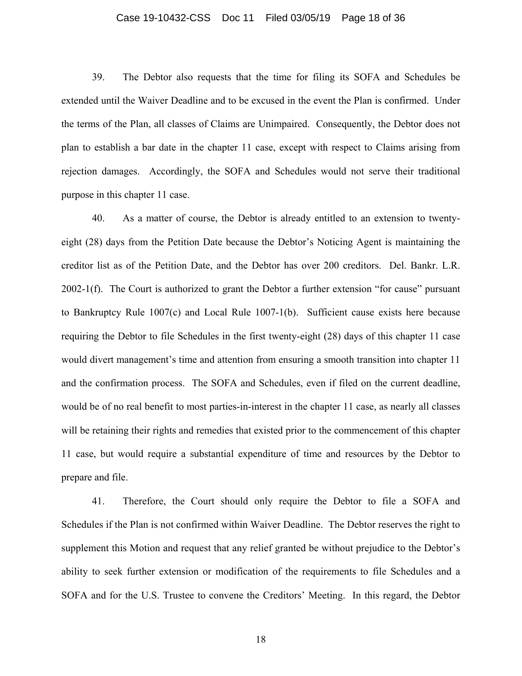#### Case 19-10432-CSS Doc 11 Filed 03/05/19 Page 18 of 36

39. The Debtor also requests that the time for filing its SOFA and Schedules be extended until the Waiver Deadline and to be excused in the event the Plan is confirmed. Under the terms of the Plan, all classes of Claims are Unimpaired. Consequently, the Debtor does not plan to establish a bar date in the chapter 11 case, except with respect to Claims arising from rejection damages. Accordingly, the SOFA and Schedules would not serve their traditional purpose in this chapter 11 case.

40. As a matter of course, the Debtor is already entitled to an extension to twentyeight (28) days from the Petition Date because the Debtor's Noticing Agent is maintaining the creditor list as of the Petition Date, and the Debtor has over 200 creditors. Del. Bankr. L.R. 2002-1(f). The Court is authorized to grant the Debtor a further extension "for cause" pursuant to Bankruptcy Rule 1007(c) and Local Rule 1007-1(b). Sufficient cause exists here because requiring the Debtor to file Schedules in the first twenty-eight (28) days of this chapter 11 case would divert management's time and attention from ensuring a smooth transition into chapter 11 and the confirmation process. The SOFA and Schedules, even if filed on the current deadline, would be of no real benefit to most parties-in-interest in the chapter 11 case, as nearly all classes will be retaining their rights and remedies that existed prior to the commencement of this chapter 11 case, but would require a substantial expenditure of time and resources by the Debtor to prepare and file.

41. Therefore, the Court should only require the Debtor to file a SOFA and Schedules if the Plan is not confirmed within Waiver Deadline. The Debtor reserves the right to supplement this Motion and request that any relief granted be without prejudice to the Debtor's ability to seek further extension or modification of the requirements to file Schedules and a SOFA and for the U.S. Trustee to convene the Creditors' Meeting. In this regard, the Debtor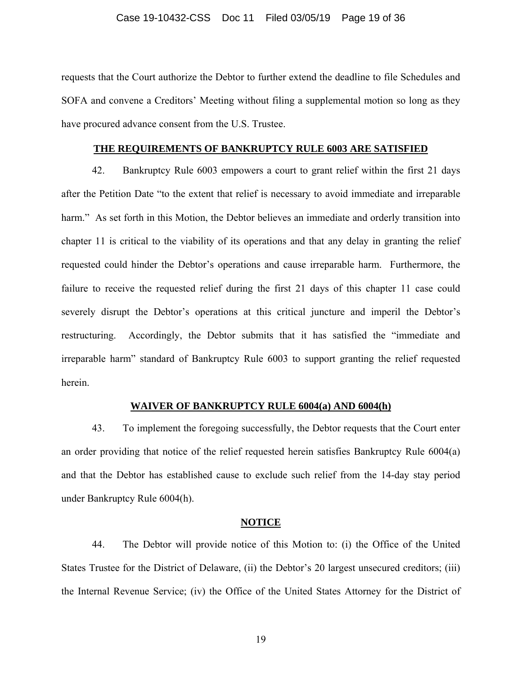requests that the Court authorize the Debtor to further extend the deadline to file Schedules and SOFA and convene a Creditors' Meeting without filing a supplemental motion so long as they have procured advance consent from the U.S. Trustee.

#### **THE REQUIREMENTS OF BANKRUPTCY RULE 6003 ARE SATISFIED**

42. Bankruptcy Rule 6003 empowers a court to grant relief within the first 21 days after the Petition Date "to the extent that relief is necessary to avoid immediate and irreparable harm." As set forth in this Motion, the Debtor believes an immediate and orderly transition into chapter 11 is critical to the viability of its operations and that any delay in granting the relief requested could hinder the Debtor's operations and cause irreparable harm. Furthermore, the failure to receive the requested relief during the first 21 days of this chapter 11 case could severely disrupt the Debtor's operations at this critical juncture and imperil the Debtor's restructuring. Accordingly, the Debtor submits that it has satisfied the "immediate and irreparable harm" standard of Bankruptcy Rule 6003 to support granting the relief requested herein.

#### **WAIVER OF BANKRUPTCY RULE 6004(a) AND 6004(h)**

43. To implement the foregoing successfully, the Debtor requests that the Court enter an order providing that notice of the relief requested herein satisfies Bankruptcy Rule 6004(a) and that the Debtor has established cause to exclude such relief from the 14-day stay period under Bankruptcy Rule 6004(h).

#### **NOTICE**

44. The Debtor will provide notice of this Motion to: (i) the Office of the United States Trustee for the District of Delaware, (ii) the Debtor's 20 largest unsecured creditors; (iii) the Internal Revenue Service; (iv) the Office of the United States Attorney for the District of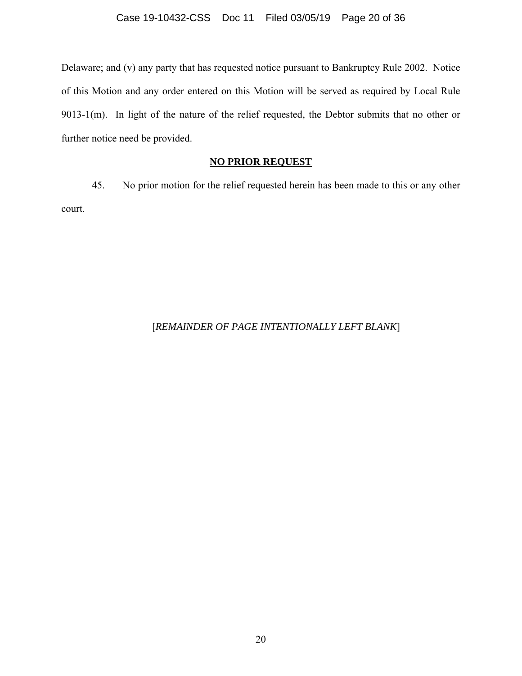Delaware; and (v) any party that has requested notice pursuant to Bankruptcy Rule 2002. Notice of this Motion and any order entered on this Motion will be served as required by Local Rule 9013-1(m). In light of the nature of the relief requested, the Debtor submits that no other or further notice need be provided.

### **NO PRIOR REQUEST**

45. No prior motion for the relief requested herein has been made to this or any other court.

#### [*REMAINDER OF PAGE INTENTIONALLY LEFT BLANK*]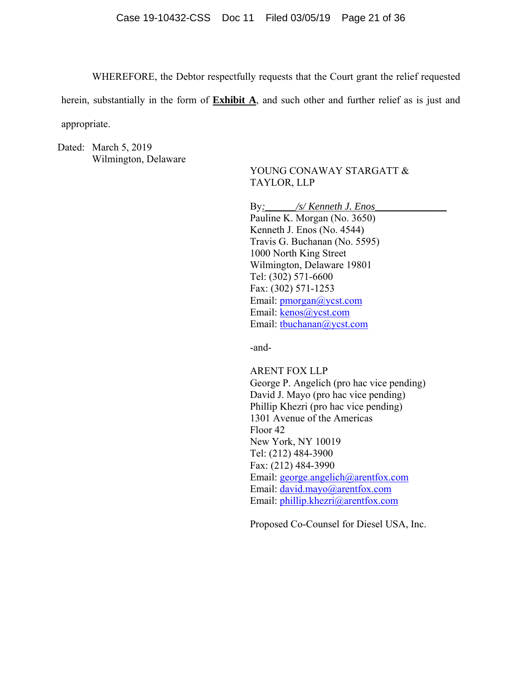WHEREFORE, the Debtor respectfully requests that the Court grant the relief requested

herein, substantially in the form of **Exhibit A**, and such other and further relief as is just and appropriate.

Dated: March 5, 2019 Wilmington, Delaware

### YOUNG CONAWAY STARGATT & TAYLOR, LLP

By:  $\frac{S}{K$ enneth J. Enos\_ Pauline K. Morgan (No. 3650) Kenneth J. Enos (No. 4544) Travis G. Buchanan (No. 5595) 1000 North King Street Wilmington, Delaware 19801 Tel: (302) 571-6600 Fax: (302) 571-1253 Email: pmorgan@ycst.com Email: kenos@ycst.com Email: tbuchanan@ycst.com

-and-

ARENT FOX LLP George P. Angelich (pro hac vice pending) David J. Mayo (pro hac vice pending) Phillip Khezri (pro hac vice pending) 1301 Avenue of the Americas Floor 42 New York, NY 10019 Tel: (212) 484-3900 Fax: (212) 484-3990 Email: george.angelich@arentfox.com Email: david.mayo@arentfox.com Email: phillip.khezri@arentfox.com

Proposed Co-Counsel for Diesel USA, Inc.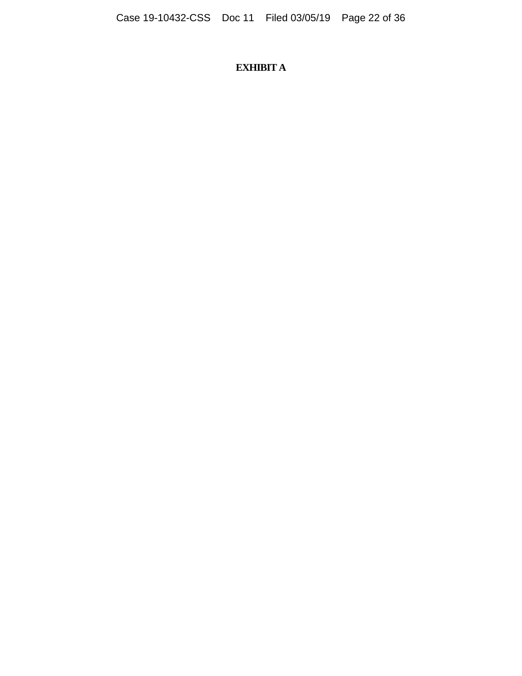# **EXHIBIT A**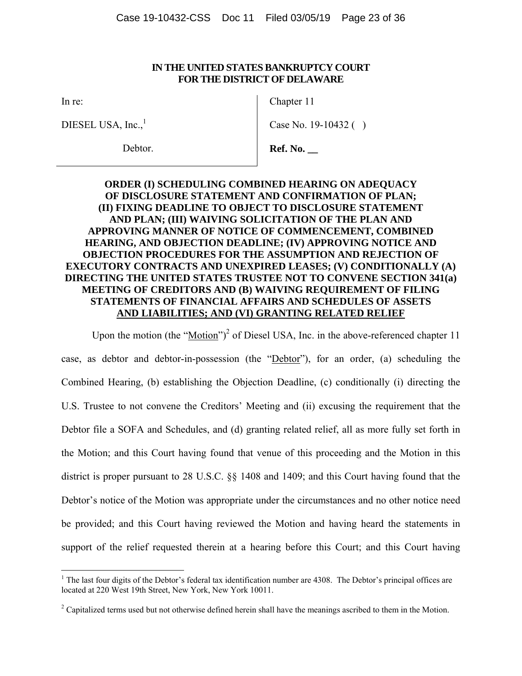#### **IN THE UNITED STATES BANKRUPTCY COURT FOR THE DISTRICT OF DELAWARE**

In re:

DIESEL USA,  $Inc.<sup>1</sup>$ 

Debtor.

Chapter 11

Case No. 19-10432 ( )

**Ref. No. \_\_** 

### **ORDER (I) SCHEDULING COMBINED HEARING ON ADEQUACY OF DISCLOSURE STATEMENT AND CONFIRMATION OF PLAN; (II) FIXING DEADLINE TO OBJECT TO DISCLOSURE STATEMENT AND PLAN; (III) WAIVING SOLICITATION OF THE PLAN AND APPROVING MANNER OF NOTICE OF COMMENCEMENT, COMBINED HEARING, AND OBJECTION DEADLINE; (IV) APPROVING NOTICE AND OBJECTION PROCEDURES FOR THE ASSUMPTION AND REJECTION OF EXECUTORY CONTRACTS AND UNEXPIRED LEASES; (V) CONDITIONALLY (A) DIRECTING THE UNITED STATES TRUSTEE NOT TO CONVENE SECTION 341(a) MEETING OF CREDITORS AND (B) WAIVING REQUIREMENT OF FILING STATEMENTS OF FINANCIAL AFFAIRS AND SCHEDULES OF ASSETS AND LIABILITIES; AND (VI) GRANTING RELATED RELIEF**

Upon the motion (the " $\underline{Motion}$ ")<sup>2</sup> of Diesel USA, Inc. in the above-referenced chapter 11 case, as debtor and debtor-in-possession (the "Debtor"), for an order, (a) scheduling the Combined Hearing, (b) establishing the Objection Deadline, (c) conditionally (i) directing the U.S. Trustee to not convene the Creditors' Meeting and (ii) excusing the requirement that the Debtor file a SOFA and Schedules, and (d) granting related relief, all as more fully set forth in the Motion; and this Court having found that venue of this proceeding and the Motion in this district is proper pursuant to 28 U.S.C. §§ 1408 and 1409; and this Court having found that the Debtor's notice of the Motion was appropriate under the circumstances and no other notice need be provided; and this Court having reviewed the Motion and having heard the statements in support of the relief requested therein at a hearing before this Court; and this Court having

<sup>&</sup>lt;sup>1</sup> The last four digits of the Debtor's federal tax identification number are 4308. The Debtor's principal offices are located at 220 West 19th Street, New York, New York 10011.

 $2^2$  Capitalized terms used but not otherwise defined herein shall have the meanings ascribed to them in the Motion.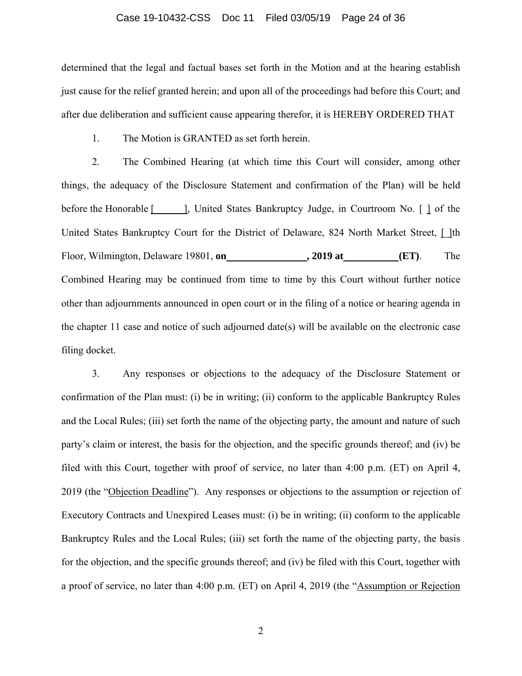#### Case 19-10432-CSS Doc 11 Filed 03/05/19 Page 24 of 36

determined that the legal and factual bases set forth in the Motion and at the hearing establish just cause for the relief granted herein; and upon all of the proceedings had before this Court; and after due deliberation and sufficient cause appearing therefor, it is HEREBY ORDERED THAT

1. The Motion is GRANTED as set forth herein.

2. The Combined Hearing (at which time this Court will consider, among other things, the adequacy of the Disclosure Statement and confirmation of the Plan) will be held before the Honorable [1, United States Bankruptcy Judge, in Courtroom No. [1] of the United States Bankruptcy Court for the District of Delaware, 824 North Market Street, [ ]th Floor, Wilmington, Delaware 19801, **on , 2019 at (ET)**. The Combined Hearing may be continued from time to time by this Court without further notice other than adjournments announced in open court or in the filing of a notice or hearing agenda in the chapter 11 case and notice of such adjourned date(s) will be available on the electronic case filing docket.

3. Any responses or objections to the adequacy of the Disclosure Statement or confirmation of the Plan must: (i) be in writing; (ii) conform to the applicable Bankruptcy Rules and the Local Rules; (iii) set forth the name of the objecting party, the amount and nature of such party's claim or interest, the basis for the objection, and the specific grounds thereof; and (iv) be filed with this Court, together with proof of service, no later than 4:00 p.m. (ET) on April 4, 2019 (the "Objection Deadline"). Any responses or objections to the assumption or rejection of Executory Contracts and Unexpired Leases must: (i) be in writing; (ii) conform to the applicable Bankruptcy Rules and the Local Rules; (iii) set forth the name of the objecting party, the basis for the objection, and the specific grounds thereof; and (iv) be filed with this Court, together with a proof of service, no later than 4:00 p.m. (ET) on April 4, 2019 (the "Assumption or Rejection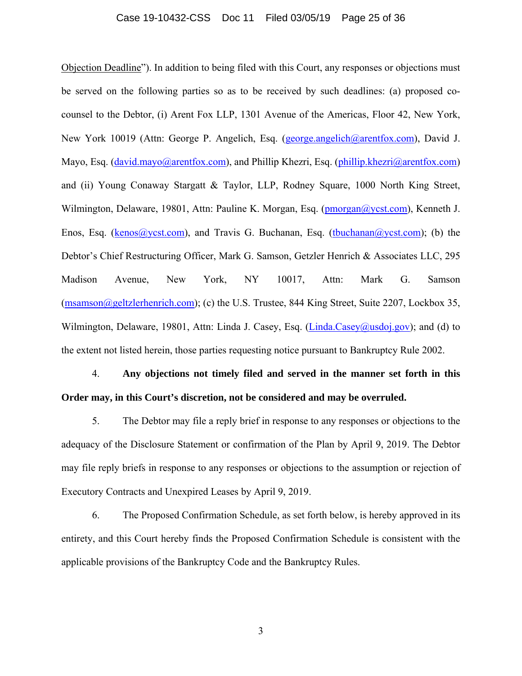#### Case 19-10432-CSS Doc 11 Filed 03/05/19 Page 25 of 36

Objection Deadline"). In addition to being filed with this Court, any responses or objections must be served on the following parties so as to be received by such deadlines: (a) proposed cocounsel to the Debtor, (i) Arent Fox LLP, 1301 Avenue of the Americas, Floor 42, New York, New York 10019 (Attn: George P. Angelich, Esq. (george.angelich@arentfox.com), David J. Mayo, Esq. (david.mayo@arentfox.com), and Phillip Khezri, Esq. (phillip.khezri@arentfox.com) and (ii) Young Conaway Stargatt & Taylor, LLP, Rodney Square, 1000 North King Street, Wilmington, Delaware, 19801, Attn: Pauline K. Morgan, Esq. (pmorgan@ycst.com), Kenneth J. Enos, Esq. (kenos@ycst.com), and Travis G. Buchanan, Esq. (tbuchanan@ycst.com); (b) the Debtor's Chief Restructuring Officer, Mark G. Samson, Getzler Henrich & Associates LLC, 295 Madison Avenue, New York, NY 10017, Attn: Mark G. Samson (msamson@geltzlerhenrich.com); (c) the U.S. Trustee, 844 King Street, Suite 2207, Lockbox 35, Wilmington, Delaware, 19801, Attn: Linda J. Casey, Esq. (Linda.Casey@usdoj.gov); and (d) to the extent not listed herein, those parties requesting notice pursuant to Bankruptcy Rule 2002.

# 4. **Any objections not timely filed and served in the manner set forth in this Order may, in this Court's discretion, not be considered and may be overruled.**

5. The Debtor may file a reply brief in response to any responses or objections to the adequacy of the Disclosure Statement or confirmation of the Plan by April 9, 2019. The Debtor may file reply briefs in response to any responses or objections to the assumption or rejection of Executory Contracts and Unexpired Leases by April 9, 2019.

6. The Proposed Confirmation Schedule, as set forth below, is hereby approved in its entirety, and this Court hereby finds the Proposed Confirmation Schedule is consistent with the applicable provisions of the Bankruptcy Code and the Bankruptcy Rules.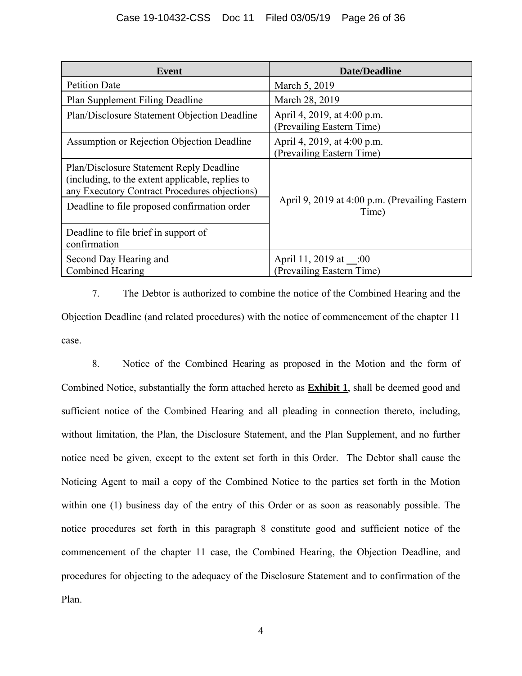| Event                                                                                                                                                                                         | <b>Date/Deadline</b>                                     |
|-----------------------------------------------------------------------------------------------------------------------------------------------------------------------------------------------|----------------------------------------------------------|
| <b>Petition Date</b>                                                                                                                                                                          | March 5, 2019                                            |
| Plan Supplement Filing Deadline                                                                                                                                                               | March 28, 2019                                           |
| Plan/Disclosure Statement Objection Deadline                                                                                                                                                  | April 4, 2019, at 4:00 p.m.<br>(Prevailing Eastern Time) |
| Assumption or Rejection Objection Deadline                                                                                                                                                    | April 4, 2019, at 4:00 p.m.<br>(Prevailing Eastern Time) |
| Plan/Disclosure Statement Reply Deadline<br>(including, to the extent applicable, replies to<br>any Executory Contract Procedures objections)<br>Deadline to file proposed confirmation order | April 9, 2019 at 4:00 p.m. (Prevailing Eastern           |
| Deadline to file brief in support of<br>confirmation                                                                                                                                          | Time)                                                    |
| Second Day Hearing and<br>Combined Hearing                                                                                                                                                    | April 11, 2019 at __:00<br>(Prevailing Eastern Time)     |

7. The Debtor is authorized to combine the notice of the Combined Hearing and the Objection Deadline (and related procedures) with the notice of commencement of the chapter 11 case.

8. Notice of the Combined Hearing as proposed in the Motion and the form of Combined Notice, substantially the form attached hereto as **Exhibit 1**, shall be deemed good and sufficient notice of the Combined Hearing and all pleading in connection thereto, including, without limitation, the Plan, the Disclosure Statement, and the Plan Supplement, and no further notice need be given, except to the extent set forth in this Order. The Debtor shall cause the Noticing Agent to mail a copy of the Combined Notice to the parties set forth in the Motion within one (1) business day of the entry of this Order or as soon as reasonably possible. The notice procedures set forth in this paragraph 8 constitute good and sufficient notice of the commencement of the chapter 11 case, the Combined Hearing, the Objection Deadline, and procedures for objecting to the adequacy of the Disclosure Statement and to confirmation of the Plan.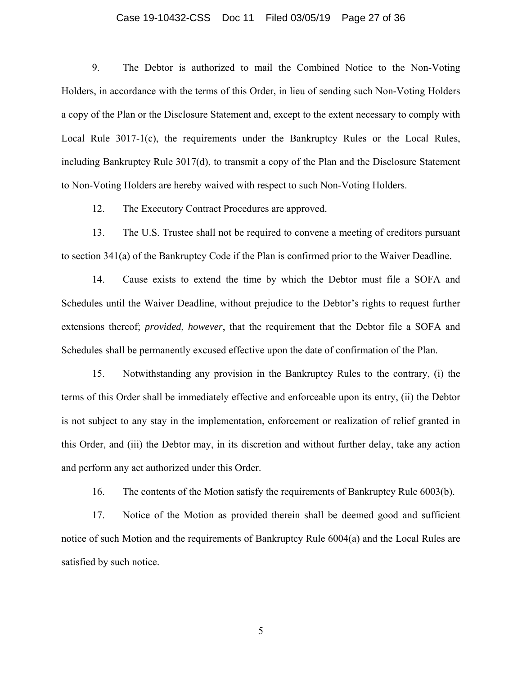#### Case 19-10432-CSS Doc 11 Filed 03/05/19 Page 27 of 36

9. The Debtor is authorized to mail the Combined Notice to the Non-Voting Holders, in accordance with the terms of this Order, in lieu of sending such Non-Voting Holders a copy of the Plan or the Disclosure Statement and, except to the extent necessary to comply with Local Rule 3017-1(c), the requirements under the Bankruptcy Rules or the Local Rules, including Bankruptcy Rule 3017(d), to transmit a copy of the Plan and the Disclosure Statement to Non-Voting Holders are hereby waived with respect to such Non-Voting Holders.

12. The Executory Contract Procedures are approved.

13. The U.S. Trustee shall not be required to convene a meeting of creditors pursuant to section 341(a) of the Bankruptcy Code if the Plan is confirmed prior to the Waiver Deadline.

14. Cause exists to extend the time by which the Debtor must file a SOFA and Schedules until the Waiver Deadline, without prejudice to the Debtor's rights to request further extensions thereof; *provided*, *however*, that the requirement that the Debtor file a SOFA and Schedules shall be permanently excused effective upon the date of confirmation of the Plan.

15. Notwithstanding any provision in the Bankruptcy Rules to the contrary, (i) the terms of this Order shall be immediately effective and enforceable upon its entry, (ii) the Debtor is not subject to any stay in the implementation, enforcement or realization of relief granted in this Order, and (iii) the Debtor may, in its discretion and without further delay, take any action and perform any act authorized under this Order.

16. The contents of the Motion satisfy the requirements of Bankruptcy Rule 6003(b).

17. Notice of the Motion as provided therein shall be deemed good and sufficient notice of such Motion and the requirements of Bankruptcy Rule 6004(a) and the Local Rules are satisfied by such notice.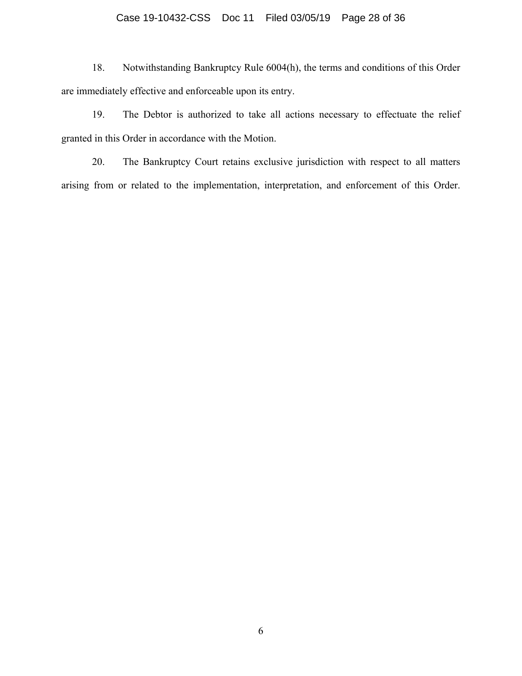## Case 19-10432-CSS Doc 11 Filed 03/05/19 Page 28 of 36

18. Notwithstanding Bankruptcy Rule 6004(h), the terms and conditions of this Order are immediately effective and enforceable upon its entry.

19. The Debtor is authorized to take all actions necessary to effectuate the relief granted in this Order in accordance with the Motion.

20. The Bankruptcy Court retains exclusive jurisdiction with respect to all matters arising from or related to the implementation, interpretation, and enforcement of this Order.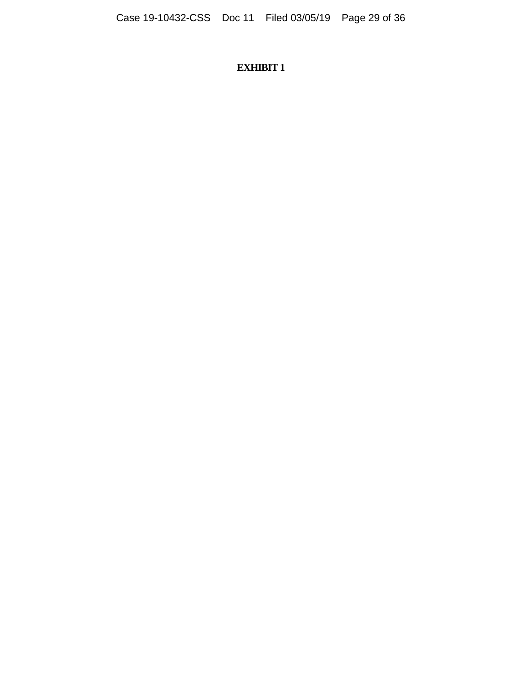# **EXHIBIT 1**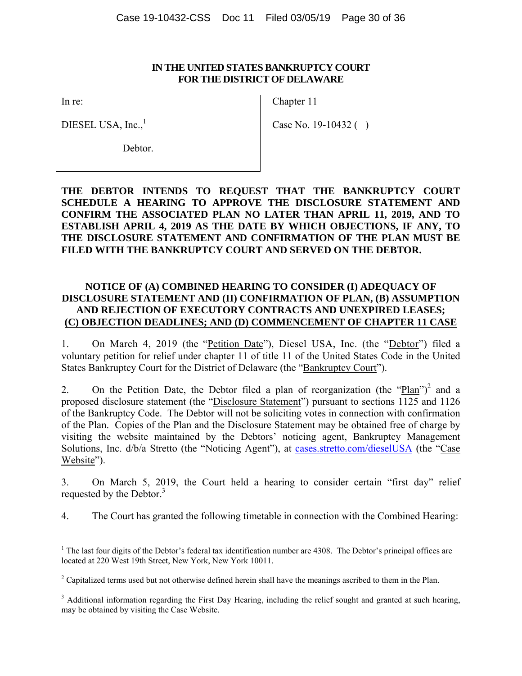#### **IN THE UNITED STATES BANKRUPTCY COURT FOR THE DISTRICT OF DELAWARE**

In re:

Chapter 11

DIESEL USA,  $Inc.<sup>1</sup>$ 

Case No. 19-10432 ( )

Debtor.

### **THE DEBTOR INTENDS TO REQUEST THAT THE BANKRUPTCY COURT SCHEDULE A HEARING TO APPROVE THE DISCLOSURE STATEMENT AND CONFIRM THE ASSOCIATED PLAN NO LATER THAN APRIL 11, 2019, AND TO ESTABLISH APRIL 4, 2019 AS THE DATE BY WHICH OBJECTIONS, IF ANY, TO THE DISCLOSURE STATEMENT AND CONFIRMATION OF THE PLAN MUST BE FILED WITH THE BANKRUPTCY COURT AND SERVED ON THE DEBTOR.**

### **NOTICE OF (A) COMBINED HEARING TO CONSIDER (I) ADEQUACY OF DISCLOSURE STATEMENT AND (II) CONFIRMATION OF PLAN, (B) ASSUMPTION AND REJECTION OF EXECUTORY CONTRACTS AND UNEXPIRED LEASES; (C) OBJECTION DEADLINES; AND (D) COMMENCEMENT OF CHAPTER 11 CASE**

1. On March 4, 2019 (the "Petition Date"), Diesel USA, Inc. (the "Debtor") filed a voluntary petition for relief under chapter 11 of title 11 of the United States Code in the United States Bankruptcy Court for the District of Delaware (the "Bankruptcy Court").

2. On the Petition Date, the Debtor filed a plan of reorganization (the " $Plan$ ")<sup>2</sup> and a proposed disclosure statement (the "Disclosure Statement") pursuant to sections 1125 and 1126 of the Bankruptcy Code. The Debtor will not be soliciting votes in connection with confirmation of the Plan. Copies of the Plan and the Disclosure Statement may be obtained free of charge by visiting the website maintained by the Debtors' noticing agent, Bankruptcy Management Solutions, Inc. d/b/a Stretto (the "Noticing Agent"), at cases.stretto.com/dieselUSA (the "Case Website").

3. On March 5, 2019, the Court held a hearing to consider certain "first day" relief requested by the Debtor.<sup>3</sup>

4. The Court has granted the following timetable in connection with the Combined Hearing:

<sup>&</sup>lt;sup>1</sup> The last four digits of the Debtor's federal tax identification number are 4308. The Debtor's principal offices are located at 220 West 19th Street, New York, New York 10011.

<sup>&</sup>lt;sup>2</sup> Capitalized terms used but not otherwise defined herein shall have the meanings ascribed to them in the Plan.

<sup>&</sup>lt;sup>3</sup> Additional information regarding the First Day Hearing, including the relief sought and granted at such hearing, may be obtained by visiting the Case Website.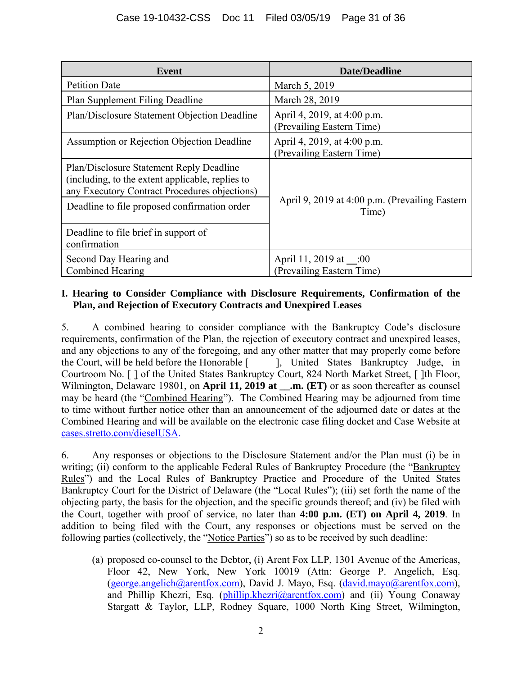| Event                                                                                                                                                                                         | <b>Date/Deadline</b>                                     |
|-----------------------------------------------------------------------------------------------------------------------------------------------------------------------------------------------|----------------------------------------------------------|
| <b>Petition Date</b>                                                                                                                                                                          | March 5, 2019                                            |
| <b>Plan Supplement Filing Deadline</b>                                                                                                                                                        | March 28, 2019                                           |
| Plan/Disclosure Statement Objection Deadline                                                                                                                                                  | April 4, 2019, at 4:00 p.m.<br>(Prevailing Eastern Time) |
| Assumption or Rejection Objection Deadline                                                                                                                                                    | April 4, 2019, at 4:00 p.m.<br>(Prevailing Eastern Time) |
| Plan/Disclosure Statement Reply Deadline<br>(including, to the extent applicable, replies to<br>any Executory Contract Procedures objections)<br>Deadline to file proposed confirmation order | April 9, 2019 at 4:00 p.m. (Prevailing Eastern<br>Time)  |
| Deadline to file brief in support of<br>confirmation                                                                                                                                          |                                                          |
| Second Day Hearing and<br>Combined Hearing                                                                                                                                                    | April 11, 2019 at __:00<br>(Prevailing Eastern Time)     |

### **I. Hearing to Consider Compliance with Disclosure Requirements, Confirmation of the Plan, and Rejection of Executory Contracts and Unexpired Leases**

5. A combined hearing to consider compliance with the Bankruptcy Code's disclosure requirements, confirmation of the Plan, the rejection of executory contract and unexpired leases, and any objections to any of the foregoing, and any other matter that may properly come before the Court, will be held before the Honorable [ ]. United States Bankruptcy Judge, in the Court, will be held before the Honorable [ Courtroom No. [ ] of the United States Bankruptcy Court, 824 North Market Street, [ ]th Floor, Wilmington, Delaware 19801, on **April 11, 2019 at .m.** (ET) or as soon thereafter as counsel may be heard (the "Combined Hearing"). The Combined Hearing may be adjourned from time to time without further notice other than an announcement of the adjourned date or dates at the Combined Hearing and will be available on the electronic case filing docket and Case Website at cases.stretto.com/dieselUSA.

6. Any responses or objections to the Disclosure Statement and/or the Plan must (i) be in writing; (ii) conform to the applicable Federal Rules of Bankruptcy Procedure (the "Bankruptcy Rules") and the Local Rules of Bankruptcy Practice and Procedure of the United States Bankruptcy Court for the District of Delaware (the "Local Rules"); (iii) set forth the name of the objecting party, the basis for the objection, and the specific grounds thereof; and (iv) be filed with the Court, together with proof of service, no later than **4:00 p.m. (ET) on April 4, 2019**. In addition to being filed with the Court, any responses or objections must be served on the following parties (collectively, the "Notice Parties") so as to be received by such deadline:

(a) proposed co-counsel to the Debtor, (i) Arent Fox LLP, 1301 Avenue of the Americas, Floor 42, New York, New York 10019 (Attn: George P. Angelich, Esq. (george.angelich@arentfox.com), David J. Mayo, Esq. (david.mayo@arentfox.com), and Phillip Khezri, Esq. (phillip.khezri@arentfox.com) and (ii) Young Conaway Stargatt & Taylor, LLP, Rodney Square, 1000 North King Street, Wilmington,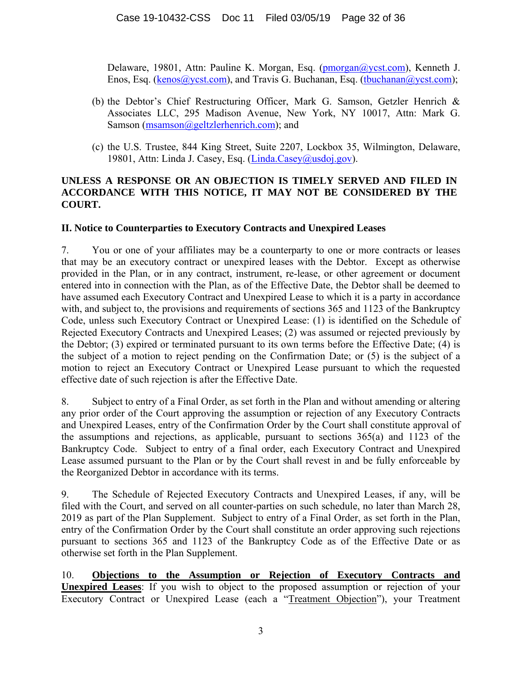Delaware, 19801, Attn: Pauline K. Morgan, Esq. (pmorgan@ycst.com), Kenneth J. Enos, Esq. (kenos@ycst.com), and Travis G. Buchanan, Esq. (tbuchanan@ycst.com);

- (b) the Debtor's Chief Restructuring Officer, Mark G. Samson, Getzler Henrich & Associates LLC, 295 Madison Avenue, New York, NY 10017, Attn: Mark G. Samson (msamson@geltzlerhenrich.com); and
- (c) the U.S. Trustee, 844 King Street, Suite 2207, Lockbox 35, Wilmington, Delaware, 19801, Attn: Linda J. Casey, Esq. (Linda.Casey@usdoj.gov).

### **UNLESS A RESPONSE OR AN OBJECTION IS TIMELY SERVED AND FILED IN ACCORDANCE WITH THIS NOTICE, IT MAY NOT BE CONSIDERED BY THE COURT.**

### **II. Notice to Counterparties to Executory Contracts and Unexpired Leases**

7. You or one of your affiliates may be a counterparty to one or more contracts or leases that may be an executory contract or unexpired leases with the Debtor. Except as otherwise provided in the Plan, or in any contract, instrument, re-lease, or other agreement or document entered into in connection with the Plan, as of the Effective Date, the Debtor shall be deemed to have assumed each Executory Contract and Unexpired Lease to which it is a party in accordance with, and subject to, the provisions and requirements of sections 365 and 1123 of the Bankruptcy Code, unless such Executory Contract or Unexpired Lease: (1) is identified on the Schedule of Rejected Executory Contracts and Unexpired Leases; (2) was assumed or rejected previously by the Debtor; (3) expired or terminated pursuant to its own terms before the Effective Date; (4) is the subject of a motion to reject pending on the Confirmation Date; or (5) is the subject of a motion to reject an Executory Contract or Unexpired Lease pursuant to which the requested effective date of such rejection is after the Effective Date.

8. Subject to entry of a Final Order, as set forth in the Plan and without amending or altering any prior order of the Court approving the assumption or rejection of any Executory Contracts and Unexpired Leases, entry of the Confirmation Order by the Court shall constitute approval of the assumptions and rejections, as applicable, pursuant to sections 365(a) and 1123 of the Bankruptcy Code. Subject to entry of a final order, each Executory Contract and Unexpired Lease assumed pursuant to the Plan or by the Court shall revest in and be fully enforceable by the Reorganized Debtor in accordance with its terms.

9. The Schedule of Rejected Executory Contracts and Unexpired Leases, if any, will be filed with the Court, and served on all counter-parties on such schedule, no later than March 28, 2019 as part of the Plan Supplement. Subject to entry of a Final Order, as set forth in the Plan, entry of the Confirmation Order by the Court shall constitute an order approving such rejections pursuant to sections 365 and 1123 of the Bankruptcy Code as of the Effective Date or as otherwise set forth in the Plan Supplement.

10. **Objections to the Assumption or Rejection of Executory Contracts and Unexpired Leases**: If you wish to object to the proposed assumption or rejection of your Executory Contract or Unexpired Lease (each a "Treatment Objection"), your Treatment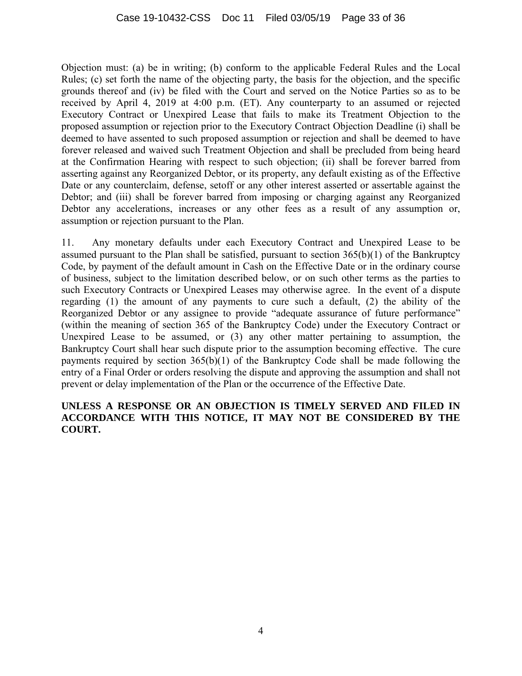Objection must: (a) be in writing; (b) conform to the applicable Federal Rules and the Local Rules; (c) set forth the name of the objecting party, the basis for the objection, and the specific grounds thereof and (iv) be filed with the Court and served on the Notice Parties so as to be received by April 4, 2019 at 4:00 p.m. (ET). Any counterparty to an assumed or rejected Executory Contract or Unexpired Lease that fails to make its Treatment Objection to the proposed assumption or rejection prior to the Executory Contract Objection Deadline (i) shall be deemed to have assented to such proposed assumption or rejection and shall be deemed to have forever released and waived such Treatment Objection and shall be precluded from being heard at the Confirmation Hearing with respect to such objection; (ii) shall be forever barred from asserting against any Reorganized Debtor, or its property, any default existing as of the Effective Date or any counterclaim, defense, setoff or any other interest asserted or assertable against the Debtor; and (iii) shall be forever barred from imposing or charging against any Reorganized Debtor any accelerations, increases or any other fees as a result of any assumption or, assumption or rejection pursuant to the Plan.

11. Any monetary defaults under each Executory Contract and Unexpired Lease to be assumed pursuant to the Plan shall be satisfied, pursuant to section 365(b)(1) of the Bankruptcy Code, by payment of the default amount in Cash on the Effective Date or in the ordinary course of business, subject to the limitation described below, or on such other terms as the parties to such Executory Contracts or Unexpired Leases may otherwise agree. In the event of a dispute regarding (1) the amount of any payments to cure such a default, (2) the ability of the Reorganized Debtor or any assignee to provide "adequate assurance of future performance" (within the meaning of section 365 of the Bankruptcy Code) under the Executory Contract or Unexpired Lease to be assumed, or (3) any other matter pertaining to assumption, the Bankruptcy Court shall hear such dispute prior to the assumption becoming effective. The cure payments required by section 365(b)(1) of the Bankruptcy Code shall be made following the entry of a Final Order or orders resolving the dispute and approving the assumption and shall not prevent or delay implementation of the Plan or the occurrence of the Effective Date.

### **UNLESS A RESPONSE OR AN OBJECTION IS TIMELY SERVED AND FILED IN ACCORDANCE WITH THIS NOTICE, IT MAY NOT BE CONSIDERED BY THE COURT.**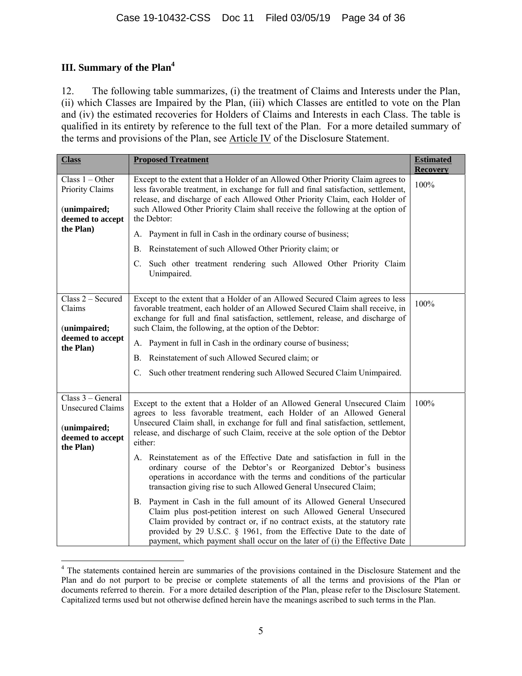# **III. Summary of the Plan4**

12. The following table summarizes, (i) the treatment of Claims and Interests under the Plan, (ii) which Classes are Impaired by the Plan, (iii) which Classes are entitled to vote on the Plan and (iv) the estimated recoveries for Holders of Claims and Interests in each Class. The table is qualified in its entirety by reference to the full text of the Plan. For a more detailed summary of the terms and provisions of the Plan, see Article IV of the Disclosure Statement.

| <b>Class</b>                                                                                  | <b>Proposed Treatment</b>                                                                                                                                                                                                                                                                                                                                                         | <b>Estimated</b><br><b>Recovery</b> |
|-----------------------------------------------------------------------------------------------|-----------------------------------------------------------------------------------------------------------------------------------------------------------------------------------------------------------------------------------------------------------------------------------------------------------------------------------------------------------------------------------|-------------------------------------|
| Class $1 - Other$<br>Priority Claims<br>(unimpaired;<br>deemed to accept                      | Except to the extent that a Holder of an Allowed Other Priority Claim agrees to<br>less favorable treatment, in exchange for full and final satisfaction, settlement,<br>release, and discharge of each Allowed Other Priority Claim, each Holder of<br>such Allowed Other Priority Claim shall receive the following at the option of<br>the Debtor:                             | 100%                                |
| the Plan)                                                                                     | A. Payment in full in Cash in the ordinary course of business;                                                                                                                                                                                                                                                                                                                    |                                     |
|                                                                                               | Reinstatement of such Allowed Other Priority claim; or<br>В.                                                                                                                                                                                                                                                                                                                      |                                     |
|                                                                                               | C. Such other treatment rendering such Allowed Other Priority Claim<br>Unimpaired.                                                                                                                                                                                                                                                                                                |                                     |
| Class 2 - Secured<br>Claims<br>(unimpaired;                                                   | Except to the extent that a Holder of an Allowed Secured Claim agrees to less<br>favorable treatment, each holder of an Allowed Secured Claim shall receive, in<br>exchange for full and final satisfaction, settlement, release, and discharge of<br>such Claim, the following, at the option of the Debtor:                                                                     | 100%                                |
| deemed to accept<br>the Plan)                                                                 | A. Payment in full in Cash in the ordinary course of business;                                                                                                                                                                                                                                                                                                                    |                                     |
|                                                                                               | Reinstatement of such Allowed Secured claim; or<br>B.                                                                                                                                                                                                                                                                                                                             |                                     |
|                                                                                               | Such other treatment rendering such Allowed Secured Claim Unimpaired.<br>C.                                                                                                                                                                                                                                                                                                       |                                     |
| Class 3 – General<br><b>Unsecured Claims</b><br>(unimpaired;<br>deemed to accept<br>the Plan) | Except to the extent that a Holder of an Allowed General Unsecured Claim<br>agrees to less favorable treatment, each Holder of an Allowed General<br>Unsecured Claim shall, in exchange for full and final satisfaction, settlement,<br>release, and discharge of such Claim, receive at the sole option of the Debtor<br>either:                                                 | 100%                                |
|                                                                                               | A. Reinstatement as of the Effective Date and satisfaction in full in the<br>ordinary course of the Debtor's or Reorganized Debtor's business<br>operations in accordance with the terms and conditions of the particular<br>transaction giving rise to such Allowed General Unsecured Claim;                                                                                     |                                     |
|                                                                                               | B. Payment in Cash in the full amount of its Allowed General Unsecured<br>Claim plus post-petition interest on such Allowed General Unsecured<br>Claim provided by contract or, if no contract exists, at the statutory rate<br>provided by 29 U.S.C. § 1961, from the Effective Date to the date of<br>payment, which payment shall occur on the later of (i) the Effective Date |                                     |

 $\overline{a}$ <sup>4</sup> The statements contained herein are summaries of the provisions contained in the Disclosure Statement and the Plan and do not purport to be precise or complete statements of all the terms and provisions of the Plan or documents referred to therein. For a more detailed description of the Plan, please refer to the Disclosure Statement. Capitalized terms used but not otherwise defined herein have the meanings ascribed to such terms in the Plan.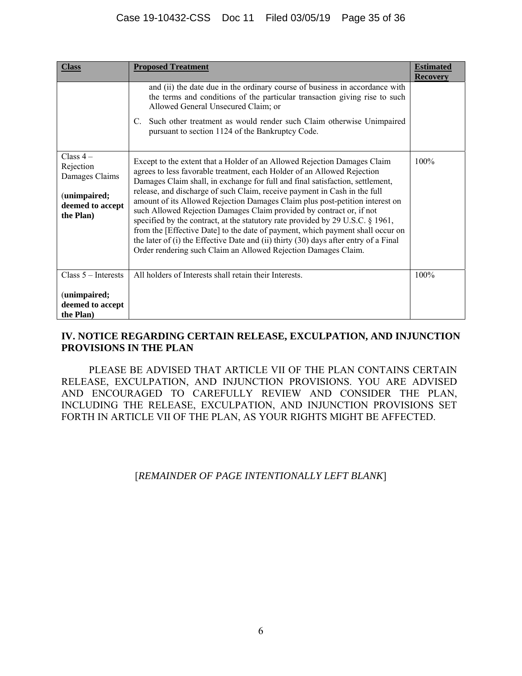### Case 19-10432-CSS Doc 11 Filed 03/05/19 Page 35 of 36

| <b>Class</b>                                                                               | <b>Proposed Treatment</b>                                                                                                                                                                                                                                                                                                                                                                                                                                                                                                                                                                                                                                                                                                                                                                               | <b>Estimated</b><br><b>Recovery</b> |
|--------------------------------------------------------------------------------------------|---------------------------------------------------------------------------------------------------------------------------------------------------------------------------------------------------------------------------------------------------------------------------------------------------------------------------------------------------------------------------------------------------------------------------------------------------------------------------------------------------------------------------------------------------------------------------------------------------------------------------------------------------------------------------------------------------------------------------------------------------------------------------------------------------------|-------------------------------------|
|                                                                                            | and (ii) the date due in the ordinary course of business in accordance with<br>the terms and conditions of the particular transaction giving rise to such<br>Allowed General Unsecured Claim; or                                                                                                                                                                                                                                                                                                                                                                                                                                                                                                                                                                                                        |                                     |
|                                                                                            | Such other treatment as would render such Claim otherwise Unimpaired<br>C.<br>pursuant to section 1124 of the Bankruptcy Code.                                                                                                                                                                                                                                                                                                                                                                                                                                                                                                                                                                                                                                                                          |                                     |
| Class $4-$<br>Rejection<br>Damages Claims<br>(unimpaired;<br>deemed to accept<br>the Plan) | Except to the extent that a Holder of an Allowed Rejection Damages Claim<br>agrees to less favorable treatment, each Holder of an Allowed Rejection<br>Damages Claim shall, in exchange for full and final satisfaction, settlement,<br>release, and discharge of such Claim, receive payment in Cash in the full<br>amount of its Allowed Rejection Damages Claim plus post-petition interest on<br>such Allowed Rejection Damages Claim provided by contract or, if not<br>specified by the contract, at the statutory rate provided by 29 U.S.C. § 1961,<br>from the [Effective Date] to the date of payment, which payment shall occur on<br>the later of (i) the Effective Date and (ii) thirty (30) days after entry of a Final<br>Order rendering such Claim an Allowed Rejection Damages Claim. | 100%                                |
| $Class 5 - Interests$                                                                      | All holders of Interests shall retain their Interests.                                                                                                                                                                                                                                                                                                                                                                                                                                                                                                                                                                                                                                                                                                                                                  | 100%                                |
| (unimpaired;<br>deemed to accept<br>the Plan)                                              |                                                                                                                                                                                                                                                                                                                                                                                                                                                                                                                                                                                                                                                                                                                                                                                                         |                                     |

### **IV. NOTICE REGARDING CERTAIN RELEASE, EXCULPATION, AND INJUNCTION PROVISIONS IN THE PLAN**

PLEASE BE ADVISED THAT ARTICLE VII OF THE PLAN CONTAINS CERTAIN RELEASE, EXCULPATION, AND INJUNCTION PROVISIONS. YOU ARE ADVISED AND ENCOURAGED TO CAREFULLY REVIEW AND CONSIDER THE PLAN, INCLUDING THE RELEASE, EXCULPATION, AND INJUNCTION PROVISIONS SET FORTH IN ARTICLE VII OF THE PLAN, AS YOUR RIGHTS MIGHT BE AFFECTED.

### [*REMAINDER OF PAGE INTENTIONALLY LEFT BLANK*]